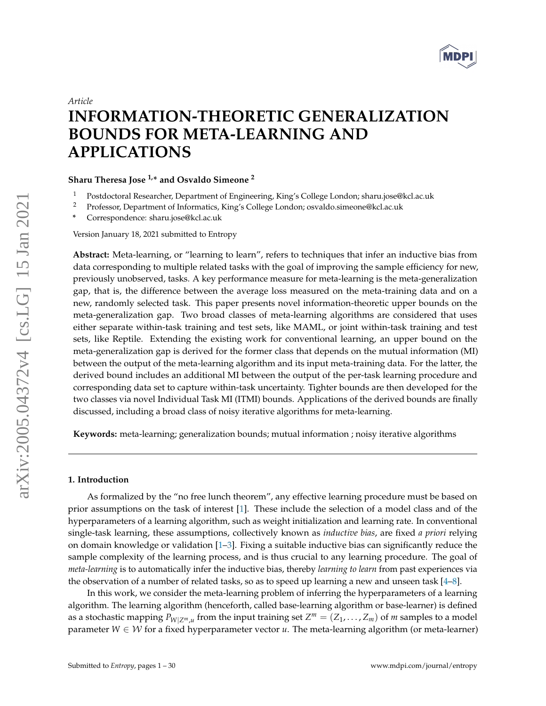

# <span id="page-0-0"></span>*Article*

# **INFORMATION-THEORETIC GENERALIZATION BOUNDS FOR META-LEARNING AND APPLICATIONS**

**Sharu Theresa Jose 1,\* and Osvaldo Simeone <sup>2</sup>**

- <sup>1</sup> Postdoctoral Researcher, Department of Engineering, King's College London; sharu.jose@kcl.ac.uk<br><sup>2</sup> Professor, Department of Informatics, King's College London; osvaldo simeone@kcl.ac.uk
- <sup>2</sup> Professor, Department of Informatics, King's College London; osvaldo.simeone@kcl.ac.uk
- **\*** Correspondence: sharu.jose@kcl.ac.uk

Version January 18, 2021 submitted to Entropy

**Abstract:** Meta-learning, or "learning to learn", refers to techniques that infer an inductive bias from data corresponding to multiple related tasks with the goal of improving the sample efficiency for new, previously unobserved, tasks. A key performance measure for meta-learning is the meta-generalization gap, that is, the difference between the average loss measured on the meta-training data and on a new, randomly selected task. This paper presents novel information-theoretic upper bounds on the meta-generalization gap. Two broad classes of meta-learning algorithms are considered that uses either separate within-task training and test sets, like MAML, or joint within-task training and test sets, like Reptile. Extending the existing work for conventional learning, an upper bound on the meta-generalization gap is derived for the former class that depends on the mutual information (MI) between the output of the meta-learning algorithm and its input meta-training data. For the latter, the derived bound includes an additional MI between the output of the per-task learning procedure and corresponding data set to capture within-task uncertainty. Tighter bounds are then developed for the two classes via novel Individual Task MI (ITMI) bounds. Applications of the derived bounds are finally discussed, including a broad class of noisy iterative algorithms for meta-learning.

**Keywords:** meta-learning; generalization bounds; mutual information ; noisy iterative algorithms

#### **1. Introduction**

As formalized by the "no free lunch theorem", any effective learning procedure must be based on prior assumptions on the task of interest [\[1\]](#page-27-0). These include the selection of a model class and of the hyperparameters of a learning algorithm, such as weight initialization and learning rate. In conventional single-task learning, these assumptions, collectively known as *inductive bias*, are fixed *a priori* relying on domain knowledge or validation [\[1–](#page-27-0)[3\]](#page-27-1). Fixing a suitable inductive bias can significantly reduce the sample complexity of the learning process, and is thus crucial to any learning procedure. The goal of *meta-learning* is to automatically infer the inductive bias, thereby *learning to learn* from past experiences via the observation of a number of related tasks, so as to speed up learning a new and unseen task [\[4](#page-27-2)[–8\]](#page-27-3).

In this work, we consider the meta-learning problem of inferring the hyperparameters of a learning algorithm. The learning algorithm (henceforth, called base-learning algorithm or base-learner) is defined as a stochastic mapping  $P_{W|Z^m,u}$  from the input training set  $Z^m = (Z_1, \ldots, Z_m)$  of *m* samples to a model parameter  $W \in \mathcal{W}$  for a fixed hyperparameter vector *u*. The meta-learning algorithm (or meta-learner)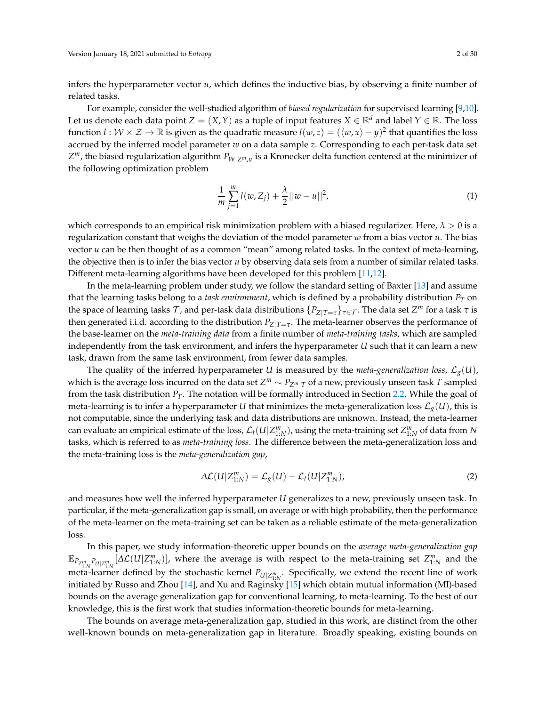infers the hyperparameter vector *u*, which defines the inductive bias, by observing a finite number of related tasks.

For example, consider the well-studied algorithm of *biased regularization* for supervised learning [\[9,](#page-27-4)[10\]](#page-27-5). Let us denote each data point *Z* =  $(X, Y)$  as a tuple of input features *X*  $\in \mathbb{R}^d$  and label *Y*  $\in \mathbb{R}$ . The loss function  $l:W\times\mathcal{Z}\to\mathbb{R}$  is given as the quadratic measure  $l(w,z)=(\langle w,x\rangle-y)^2$  that quantifies the loss accrued by the inferred model parameter *w* on a data sample *z*. Corresponding to each per-task data set *Z <sup>m</sup>*, the biased regularization algorithm *PW*|*Zm*,*<sup>u</sup>* is a Kronecker delta function centered at the minimizer of the following optimization problem

$$
\frac{1}{m}\sum_{j=1}^{m}l(w,Z_j) + \frac{\lambda}{2}||w - u||^2,
$$
\n(1)

which corresponds to an empirical risk minimization problem with a biased regularizer. Here,  $\lambda > 0$  is a regularization constant that weighs the deviation of the model parameter *w* from a bias vector *u*. The bias vector *u* can be then thought of as a common "mean" among related tasks. In the context of meta-learning, the objective then is to infer the bias vector *u* by observing data sets from a number of similar related tasks. Different meta-learning algorithms have been developed for this problem [\[11,](#page-27-6)[12\]](#page-27-7).

In the meta-learning problem under study, we follow the standard setting of Baxter [\[13\]](#page-27-8) and assume that the learning tasks belong to a *task environment*, which is defined by a probability distribution *P<sup>T</sup>* on the space of learning tasks  $\tau$ , and per-task data distributions  $\{P_{Z|T=\tau}\}_{\tau\in\mathcal{T}}.$  The data set  $Z^m$  for a task  $\tau$  is then generated i.i.d. according to the distribution *PZ*|*T*=*<sup>τ</sup>* . The meta-learner observes the performance of the base-learner on the *meta-training data* from a finite number of *meta-training tasks*, which are sampled independently from the task environment, and infers the hyperparameter *U* such that it can learn a new task, drawn from the same task environment, from fewer data samples.

The quality of the inferred hyperparameter *U* is measured by the *meta-generalization loss*,  $\mathcal{L}_{g}(U)$ , which is the average loss incurred on the data set *Z <sup>m</sup>* ∼ *PZm*|*<sup>T</sup>* of a new, previously unseen task *T* sampled from the task distribution *PT*. The notation will be formally introduced in Section [2.2.](#page-5-0) While the goal of meta-learning is to infer a hyperparameter *U* that minimizes the meta-generalization loss  $\mathcal{L}_{g}(U)$ , this is not computable, since the underlying task and data distributions are unknown. Instead, the meta-learner can evaluate an empirical estimate of the loss,  $\mathcal{L}_t(U|Z^m_{1:N})$ , using the meta-training set  $Z^m_{1:N}$  of data from  $N$ tasks, which is referred to as *meta-training loss*. The difference between the meta-generalization loss and the meta-training loss is the *meta-generalization gap*,

$$
\Delta \mathcal{L}(U|Z_{1:N}^m) = \mathcal{L}_g(U) - \mathcal{L}_t(U|Z_{1:N}^m), \qquad (2)
$$

and measures how well the inferred hyperparameter *U* generalizes to a new, previously unseen task. In particular, if the meta-generalization gap is small, on average or with high probability, then the performance of the meta-learner on the meta-training set can be taken as a reliable estimate of the meta-generalization loss.

In this paper, we study information-theoretic upper bounds on the *average meta-generalization gap*  $\mathbb{E}_{P_{Z_{1:N}^m}P_{U|Z_{1:N}^m}}[\Delta \mathcal{L}(U|Z_{1:N}^m)]$ , where the average is with respect to the meta-training set  $Z_{1:N}^m$  and the meta-learner defined by the stochastic kernel  $P_{U|Z_{1:N}^m}$ . Specifically, we extend the recent line of work initiated by Russo and Zhou [\[14\]](#page-27-9), and Xu and Raginsky [\[15\]](#page-27-10) which obtain mutual information (MI)-based bounds on the average generalization gap for conventional learning, to meta-learning. To the best of our knowledge, this is the first work that studies information-theoretic bounds for meta-learning.

The bounds on average meta-generalization gap, studied in this work, are distinct from the other well-known bounds on meta-generalization gap in literature. Broadly speaking, existing bounds on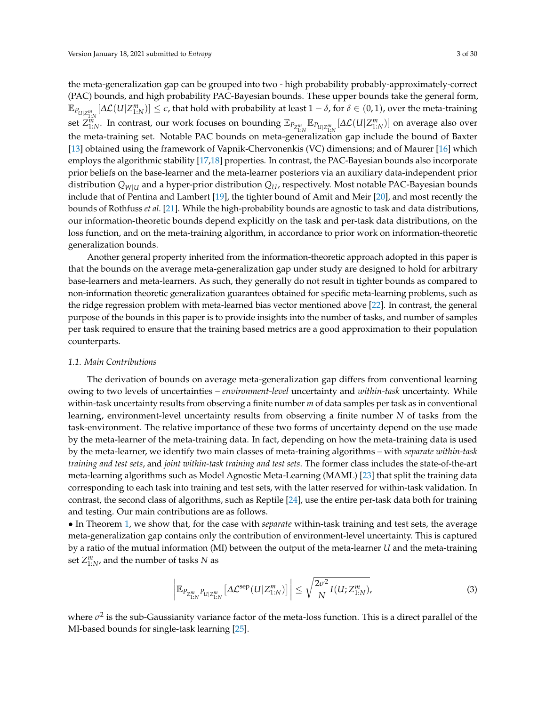the meta-generalization gap can be grouped into two - high probability probably-approximately-correct (PAC) bounds, and high probability PAC-Bayesian bounds. These upper bounds take the general form,  $\mathbb{E}_{P_{U|Z_{1:N}^m}}[\Delta \mathcal{L}(U|Z_{1:N}^m)] \leq \epsilon$ , that hold with probability at least  $1-\delta$ , for  $\delta \in (0,1)$ , over the meta-training set  $Z_{1:N}^m$ . In contrast, our work focuses on bounding  $\mathbb{E}_{P_{Z_{1:N}^m}} \mathbb{E}_{P_{U|Z_{1:N}^m}} [\Delta \mathcal{L}(U|Z_{1:N}^m)]$  on average also over the meta-training set. Notable PAC bounds on meta-generalization gap include the bound of Baxter [\[13\]](#page-27-8) obtained using the framework of Vapnik-Chervonenkis (VC) dimensions; and of Maurer [\[16\]](#page-27-11) which employs the algorithmic stability [\[17](#page-27-12)[,18\]](#page-27-13) properties. In contrast, the PAC-Bayesian bounds also incorporate prior beliefs on the base-learner and the meta-learner posteriors via an auxiliary data-independent prior distribution *QW*|*<sup>U</sup>* and a hyper-prior distribution *QU*, respectively. Most notable PAC-Bayesian bounds include that of Pentina and Lambert [\[19\]](#page-27-14), the tighter bound of Amit and Meir [\[20\]](#page-27-15), and most recently the bounds of Rothfuss *et al.* [\[21\]](#page-27-16). While the high-probability bounds are agnostic to task and data distributions, our information-theoretic bounds depend explicitly on the task and per-task data distributions, on the loss function, and on the meta-training algorithm, in accordance to prior work on information-theoretic generalization bounds.

Another general property inherited from the information-theoretic approach adopted in this paper is that the bounds on the average meta-generalization gap under study are designed to hold for arbitrary base-learners and meta-learners. As such, they generally do not result in tighter bounds as compared to non-information theoretic generalization guarantees obtained for specific meta-learning problems, such as the ridge regression problem with meta-learned bias vector mentioned above [\[22\]](#page-27-17). In contrast, the general purpose of the bounds in this paper is to provide insights into the number of tasks, and number of samples per task required to ensure that the training based metrics are a good approximation to their population counterparts.

# *1.1. Main Contributions*

The derivation of bounds on average meta-generalization gap differs from conventional learning owing to two levels of uncertainties – *environment-level* uncertainty and *within-task* uncertainty. While within-task uncertainty results from observing a finite number *m* of data samples per task as in conventional learning, environment-level uncertainty results from observing a finite number *N* of tasks from the task-environment. The relative importance of these two forms of uncertainty depend on the use made by the meta-learner of the meta-training data. In fact, depending on how the meta-training data is used by the meta-learner, we identify two main classes of meta-training algorithms – with *separate within-task training and test sets*, and *joint within-task training and test sets*. The former class includes the state-of-the-art meta-learning algorithms such as Model Agnostic Meta-Learning (MAML) [\[23\]](#page-27-18) that split the training data corresponding to each task into training and test sets, with the latter reserved for within-task validation. In contrast, the second class of algorithms, such as Reptile [\[24\]](#page-27-19), use the entire per-task data both for training and testing. Our main contributions are as follows.

• In Theorem [1,](#page-11-0) we show that, for the case with *separate* within-task training and test sets, the average meta-generalization gap contains only the contribution of environment-level uncertainty. This is captured by a ratio of the mutual information (MI) between the output of the meta-learner *U* and the meta-training set  $Z^m_{1:N}$ , and the number of tasks *N* as

<span id="page-2-0"></span>
$$
\left| \mathbb{E}_{P_{Z_{1:N}^m} p_{U|Z_{1:N}^m}} \left[ \Delta \mathcal{L}^{\text{sep}}(U|Z_{1:N}^m) \right] \right| \le \sqrt{\frac{2\sigma^2}{N} I(U;Z_{1:N}^m)},\tag{3}
$$

where  $\sigma^2$  is the sub-Gaussianity variance factor of the meta-loss function. This is a direct parallel of the MI-based bounds for single-task learning [\[25\]](#page-27-20).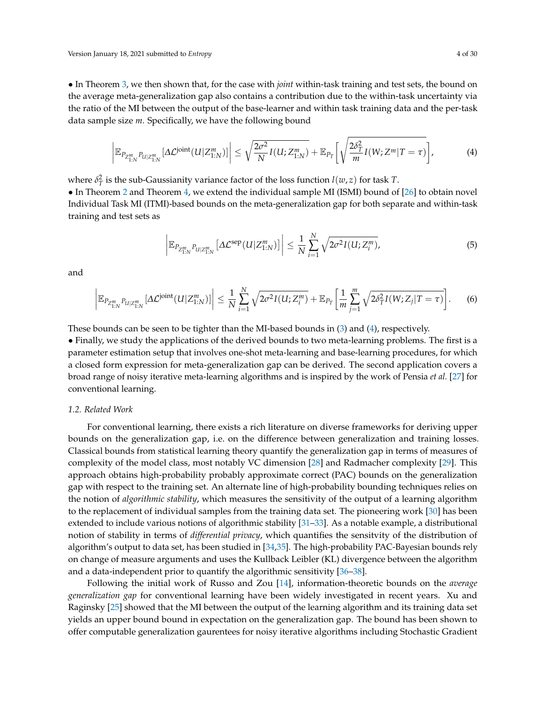• In Theorem [3,](#page-13-0) we then shown that, for the case with *joint* within-task training and test sets, the bound on the average meta-generalization gap also contains a contribution due to the within-task uncertainty via the ratio of the MI between the output of the base-learner and within task training data and the per-task data sample size *m*. Specifically, we have the following bound

$$
\left|\mathbb{E}_{P_{Z_{1:N}^m}P_{U|Z_{1:N}^m}}[\Delta \mathcal{L}^{\text{joint}}(U|Z_{1:N}^m)]\right| \leq \sqrt{\frac{2\sigma^2}{N}I(U;Z_{1:N}^m)} + \mathbb{E}_{P_T}\bigg[\sqrt{\frac{2\delta_T^2}{m}I(W;Z^m|T=\tau)}\bigg],\tag{4}
$$

where  $\delta_T^2$  is the sub-Gaussianity variance factor of the loss function  $l(w, z)$  for task *T*.

• In Theorem [2](#page-12-0) and Theorem [4,](#page-14-0) we extend the individual sample MI (ISMI) bound of [\[26\]](#page-28-0) to obtain novel Individual Task MI (ITMI)-based bounds on the meta-generalization gap for both separate and within-task training and test sets as

<span id="page-3-0"></span>
$$
\left| \mathbb{E}_{P_{Z_{1:N}^m} p_{U|Z_{1:N}^m}} \left[ \Delta \mathcal{L}^{\rm sep}(U|Z_{1:N}^m) \right] \right| \leq \frac{1}{N} \sum_{i=1}^N \sqrt{2\sigma^2 I(U;Z_i^m)},\tag{5}
$$

and

$$
\left| \mathbb{E}_{P_{Z_{1:N}^m} p_{U|Z_{1:N}^m}} [\Delta \mathcal{L}^{\text{joint}}(U|Z_{1:N}^m)] \right| \leq \frac{1}{N} \sum_{i=1}^N \sqrt{2\sigma^2 I(U;Z_i^m)} + \mathbb{E}_{P_T} \left[ \frac{1}{m} \sum_{j=1}^m \sqrt{2\delta_T^2 I(W;Z_j|T=\tau)} \right].
$$
 (6)

These bounds can be seen to be tighter than the MI-based bounds in [\(3\)](#page-2-0) and [\(4\)](#page-3-0), respectively.

• Finally, we study the applications of the derived bounds to two meta-learning problems. The first is a parameter estimation setup that involves one-shot meta-learning and base-learning procedures, for which a closed form expression for meta-generalization gap can be derived. The second application covers a broad range of noisy iterative meta-learning algorithms and is inspired by the work of Pensia *et al.* [\[27\]](#page-28-1) for conventional learning.

#### *1.2. Related Work*

For conventional learning, there exists a rich literature on diverse frameworks for deriving upper bounds on the generalization gap, i.e. on the difference between generalization and training losses. Classical bounds from statistical learning theory quantify the generalization gap in terms of measures of complexity of the model class, most notably VC dimension [\[28\]](#page-28-2) and Radmacher complexity [\[29\]](#page-28-3). This approach obtains high-probability probably approximate correct (PAC) bounds on the generalization gap with respect to the training set. An alternate line of high-probability bounding techniques relies on the notion of *algorithmic stability*, which measures the sensitivity of the output of a learning algorithm to the replacement of individual samples from the training data set. The pioneering work [\[30\]](#page-28-4) has been extended to include various notions of algorithmic stability [\[31–](#page-28-5)[33\]](#page-28-6). As a notable example, a distributional notion of stability in terms of *differential privacy*, which quantifies the sensitvity of the distribution of algorithm's output to data set, has been studied in [\[34,](#page-28-7)[35\]](#page-28-8). The high-probability PAC-Bayesian bounds rely on change of measure arguments and uses the Kullback Leibler (KL) divergence between the algorithm and a data-independent prior to quantify the algorithmic sensitivity [\[36](#page-28-9)[–38\]](#page-28-10).

Following the initial work of Russo and Zou [\[14\]](#page-27-9), information-theoretic bounds on the *average generalization gap* for conventional learning have been widely investigated in recent years. Xu and Raginsky [\[25\]](#page-27-20) showed that the MI between the output of the learning algorithm and its training data set yields an upper bound bound in expectation on the generalization gap. The bound has been shown to offer computable generalization gaurentees for noisy iterative algorithms including Stochastic Gradient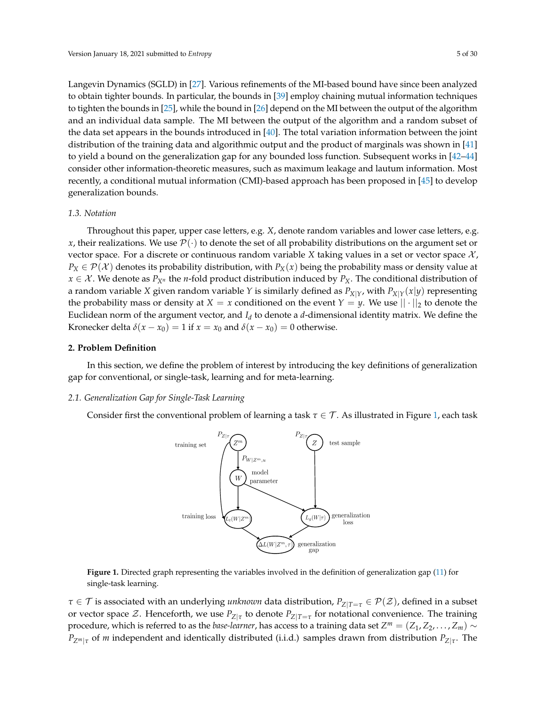Langevin Dynamics (SGLD) in [\[27\]](#page-28-1). Various refinements of the MI-based bound have since been analyzed to obtain tighter bounds. In particular, the bounds in [\[39\]](#page-28-11) employ chaining mutual information techniques to tighten the bounds in [\[25\]](#page-27-20), while the bound in [\[26\]](#page-28-0) depend on the MI between the output of the algorithm and an individual data sample. The MI between the output of the algorithm and a random subset of the data set appears in the bounds introduced in  $[40]$ . The total variation information between the joint distribution of the training data and algorithmic output and the product of marginals was shown in [\[41\]](#page-28-13) to yield a bound on the generalization gap for any bounded loss function. Subsequent works in [\[42](#page-28-14)[–44\]](#page-28-15) consider other information-theoretic measures, such as maximum leakage and lautum information. Most recently, a conditional mutual information (CMI)-based approach has been proposed in [\[45\]](#page-28-16) to develop generalization bounds.

#### *1.3. Notation*

Throughout this paper, upper case letters, e.g. *X*, denote random variables and lower case letters, e.g. *x*, their realizations. We use  $\mathcal{P}(\cdot)$  to denote the set of all probability distributions on the argument set or vector space. For a discrete or continuous random variable *X* taking values in a set or vector space  $\mathcal{X}$ ,  $P_X \in \mathcal{P}(\mathcal{X})$  denotes its probability distribution, with  $P_X(x)$  being the probability mass or density value at *x* ∈ *X*. We denote as  $P_{X^n}$  the *n*-fold product distribution induced by  $P_X$ . The conditional distribution of a random variable *X* given random variable *Y* is similarly defined as  $P_{X|Y}$ , with  $P_{X|Y}(x|y)$  representing the probability mass or density at *X* = *x* conditioned on the event *Y* = *y*. We use  $|| \cdot ||_2$  to denote the Euclidean norm of the argument vector, and  $I_d$  to denote a  $d$ -dimensional identity matrix. We define the Kronecker delta  $\delta(x - x_0) = 1$  if  $x = x_0$  and  $\delta(x - x_0) = 0$  otherwise.

#### **2. Problem Definition**

In this section, we define the problem of interest by introducing the key definitions of generalization gap for conventional, or single-task, learning and for meta-learning.

# *2.1. Generalization Gap for Single-Task Learning*

<span id="page-4-0"></span>Consider first the conventional problem of learning a task  $\tau \in \mathcal{T}$ . As illustrated in Figure [1,](#page-4-0) each task



**Figure 1.** Directed graph representing the variables involved in the definition of generalization gap [\(11\)](#page-5-1) for single-task learning.

*τ* ∈ *T* is associated with an underlying *unknown* data distribution,  $P_{Z|T=\tau}$  ∈  $P(Z)$ , defined in a subset or vector space  $\mathcal{Z}$ . Henceforth, we use  $P_{Z|\mathcal{T}}$  to denote  $P_{Z|\mathcal{T}=\tau}$  for notational convenience. The training procedure, which is referred to as the *base-learner*, has access to a training data set  $Z^m=(Z_1,Z_2,\ldots,Z_m)\sim$ *PZm*|*<sup>τ</sup>* of *m* independent and identically distributed (i.i.d.) samples drawn from distribution *PZ*|*<sup>τ</sup>* . The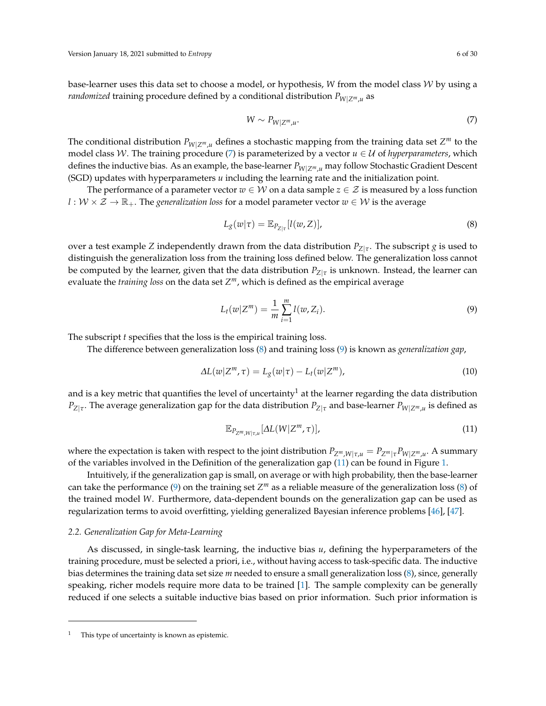base-learner uses this data set to choose a model, or hypothesis, *W* from the model class W by using a *randomized* training procedure defined by a conditional distribution *PW*|*Zm*,*<sup>u</sup>* as

<span id="page-5-3"></span><span id="page-5-2"></span>
$$
W \sim P_{W|Z^m, u}.\tag{7}
$$

The conditional distribution  $P_{W|Z^m,u}$  defines a stochastic mapping from the training data set  $Z^m$  to the model class W. The training procedure [\(7\)](#page-5-2) is parameterized by a vector  $u \in U$  of *hyperparameters*, which defines the inductive bias. As an example, the base-learner *PW*|*Zm*,*<sup>u</sup>* may follow Stochastic Gradient Descent (SGD) updates with hyperparameters *u* including the learning rate and the initialization point.

The performance of a parameter vector  $w \in W$  on a data sample  $z \in \mathcal{Z}$  is measured by a loss function  $l: W \times Z \to \mathbb{R}_+$ . The *generalization loss* for a model parameter vector  $w \in W$  is the average

$$
L_g(w|\tau) = \mathbb{E}_{P_{Z|\tau}}[l(w,Z)],\tag{8}
$$

over a test example *Z* independently drawn from the data distribution *PZ*|*<sup>τ</sup>* . The subscript *g* is used to distinguish the generalization loss from the training loss defined below. The generalization loss cannot be computed by the learner, given that the data distribution *PZ*|*<sup>τ</sup>* is unknown. Instead, the learner can evaluate the *training loss* on the data set *Z <sup>m</sup>*, which is defined as the empirical average

<span id="page-5-4"></span>
$$
L_t(w|Z^m) = \frac{1}{m} \sum_{i=1}^m l(w, Z_i).
$$
 (9)

The subscript *t* specifies that the loss is the empirical training loss.

The difference between generalization loss [\(8\)](#page-5-3) and training loss [\(9\)](#page-5-4) is known as *generalization gap*,

$$
\Delta L(w|Z^m, \tau) = L_g(w|\tau) - L_t(w|Z^m),\tag{10}
$$

and is a key metric that quantifies the level of uncertainty<sup>1</sup> at the learner regarding the data distribution  $P_{Z|\tau}$ . The average generalization gap for the data distribution  $P_{Z|\tau}$  and base-learner  $P_{W|Z^m,u}$  is defined as

<span id="page-5-1"></span>
$$
\mathbb{E}_{P_{Z^m,W|\tau,u}}[\Delta L(W|Z^m,\tau)],\tag{11}
$$

where the expectation is taken with respect to the joint distribution *PZm*,*W*|*τ*,*<sup>u</sup>* = *PZm*|*τPW*|*Zm*,*<sup>u</sup>* . A summary of the variables involved in the Definition of the generalization gap [\(11\)](#page-5-1) can be found in Figure [1.](#page-4-0)

Intuitively, if the generalization gap is small, on average or with high probability, then the base-learner can take the performance [\(9\)](#page-5-4) on the training set *Z <sup>m</sup>* as a reliable measure of the generalization loss [\(8\)](#page-5-3) of the trained model *W*. Furthermore, data-dependent bounds on the generalization gap can be used as regularization terms to avoid overfitting, yielding generalized Bayesian inference problems [\[46\]](#page-28-17), [\[47\]](#page-28-18).

# <span id="page-5-0"></span>*2.2. Generalization Gap for Meta-Learning*

As discussed, in single-task learning, the inductive bias *u*, defining the hyperparameters of the training procedure, must be selected a priori, i.e., without having access to task-specific data. The inductive bias determines the training data set size *m* needed to ensure a small generalization loss [\(8\)](#page-5-3), since, generally speaking, richer models require more data to be trained [\[1\]](#page-27-0). The sample complexity can be generally reduced if one selects a suitable inductive bias based on prior information. Such prior information is

<sup>&</sup>lt;sup>1</sup> This type of uncertainty is known as epistemic.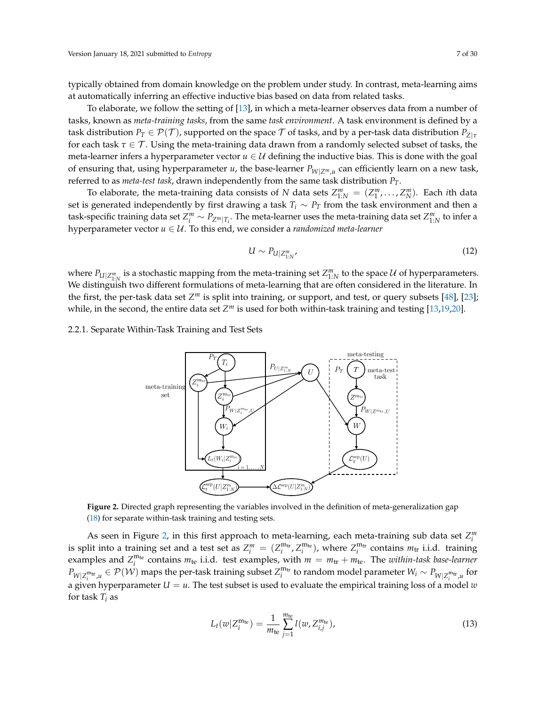typically obtained from domain knowledge on the problem under study. In contrast, meta-learning aims at automatically inferring an effective inductive bias based on data from related tasks.

To elaborate, we follow the setting of [\[13\]](#page-27-8), in which a meta-learner observes data from a number of tasks, known as *meta-training tasks*, from the same *task environment*. A task environment is defined by a task distribution  $P_T \in \mathcal{P}(\mathcal{T})$ , supported on the space  $\mathcal T$  of tasks, and by a per-task data distribution  $P_{Z|\tau}$ for each task  $\tau \in \mathcal{T}$ . Using the meta-training data drawn from a randomly selected subset of tasks, the meta-learner infers a hyperparameter vector  $u \in U$  defining the inductive bias. This is done with the goal of ensuring that, using hyperparameter *u*, the base-learner *PW*|*Zm*,*<sup>u</sup>* can efficiently learn on a new task, referred to as *meta-test task*, drawn independently from the same task distribution *PT*.

To elaborate, the meta-training data consists of *N* data sets  $Z_{1:N}^m = (Z_1^m, \ldots, Z_N^m)$ . Each *i*th data set is generated independently by first drawing a task  $T_i \sim P_T$  from the task environment and then a task-specific training data set  $Z_i^m \sim P_{Z^m|T_i}$ . The meta-learner uses the meta-training data set  $Z^m_{1:N}$  to infer a hyperparameter vector *u* ∈ U. To this end, we consider a *randomized meta-learner*

<span id="page-6-1"></span>
$$
U \sim P_{U|Z_{1:N}^m} \tag{12}
$$

where  $P_{U|Z_{1:N}^m}$  is a stochastic mapping from the meta-training set  $Z_{1:N}^m$  to the space U of hyperparameters. We distinguish two different formulations of meta-learning that are often considered in the literature. In the first, the per-task data set Z<sup>m</sup> is split into training, or support, and test, or query subsets [\[48\]](#page-28-19), [\[23\]](#page-27-18); while, in the second, the entire data set  $Z^m$  is used for both within-task training and testing [\[13](#page-27-8)[,19](#page-27-14)[,20\]](#page-27-15).

<span id="page-6-0"></span>2.2.1. Separate Within-Task Training and Test Sets



**Figure 2.** Directed graph representing the variables involved in the definition of meta-generalization gap [\(18\)](#page-7-0) for separate within-task training and testing sets.

As seen in Figure [2,](#page-6-0) in this first approach to meta-learning, each meta-training sub data set  $Z_i^m$ is split into a training set and a test set as  $Z_i^m = (Z_i^{m_{tr}}, Z_i^{m_{te}})$ , where  $Z_i^{m_{tr}}$  contains  $m_{tr}$  i.i.d. training examples and  $Z_i^{m_{te}}$  contains  $m_{te}$  i.i.d. test examples, with  $m = m_{tr} + m_{te}$ . The *within-task base-learner*  $P_{W|Z_i^{\text{mt}},u} \in \mathcal{P(W)}$  maps the per-task training subset  $Z_i^{\text{mt}}$  to random model parameter  $W_i \sim P_{W|Z_i^{\text{mt}},u}$  for a given hyperparameter  $U = u$ . The test subset is used to evaluate the empirical training loss of a model *w* for task  $T_i$  as

$$
L_t(w|Z_i^{\mathbf{m}_{\text{te}}}) = \frac{1}{m_{\text{te}}} \sum_{j=1}^{m_{\text{te}}} l(w, Z_{i,j}^{m_{\text{te}}}),
$$
\n(13)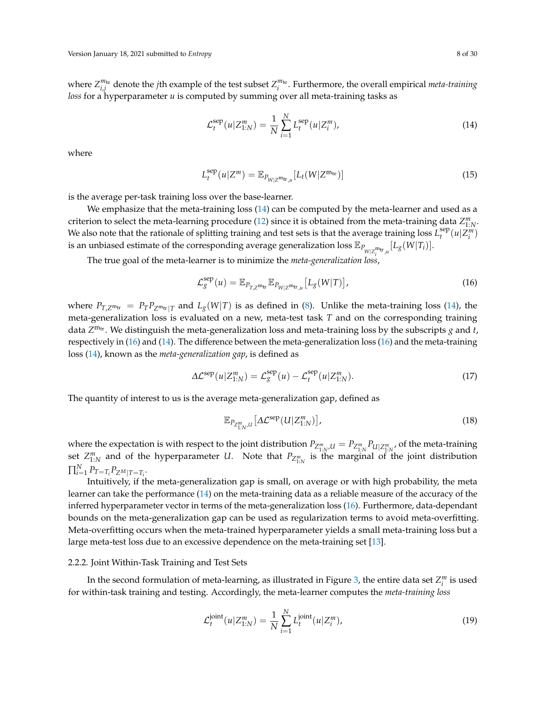where  $Z_{i,j}^{m_{te}}$  denote the *j*th example of the test subset  $Z_i^{m_{te}}$ . Furthermore, the overall empirical *meta-training loss* for a hyperparameter *u* is computed by summing over all meta-training tasks as

<span id="page-7-5"></span><span id="page-7-1"></span>
$$
\mathcal{L}_{t}^{\text{sep}}(u|Z_{1:N}^{m}) = \frac{1}{N} \sum_{i=1}^{N} L_{t}^{\text{sep}}(u|Z_{i}^{m}), \qquad (14)
$$

where

$$
L_t^{\text{sep}}(u|Z^m) = \mathbb{E}_{P_{W|Z^{\text{m}_{\text{tr}},\mu}}}[L_t(W|Z^{\text{m}_{\text{te}}})] \tag{15}
$$

is the average per-task training loss over the base-learner.

We emphasize that the meta-training loss [\(14\)](#page-7-1) can be computed by the meta-learner and used as a criterion to select the meta-learning procedure [\(12\)](#page-6-1) since it is obtained from the meta-training data  $Z_{1:N}^m$ . We also note that the rationale of splitting training and test sets is that the average training loss  $L_t^{\text{sep}}$  $\sum_{i}^{sep}(u|Z_i^m)$ is an unbiased estimate of the corresponding average generalization loss  $\mathbb{E}_{P_{W|Z_i^{\text{m}_{tr}},u}}[L_g(W|T_i)].$ 

*i* The true goal of the meta-learner is to minimize the *meta-generalization loss*,

<span id="page-7-2"></span>
$$
\mathcal{L}_{g}^{\text{sep}}(u) = \mathbb{E}_{P_{T,Z^{\text{m}_{\text{tr}}}}}\mathbb{E}_{P_{W|Z^{\text{m}_{\text{tr}},u}}}\big[L_g(W|T)\big],\tag{16}
$$

where  $P_{T,Z^m \text{tr}} = P_T P_{Z^m \text{tr}}|_T$  and  $L_g(W|T)$  is as defined in [\(8\)](#page-5-3). Unlike the meta-training loss [\(14\)](#page-7-1), the meta-generalization loss is evaluated on a new, meta-test task *T* and on the corresponding training data Z<sup>m<sub>tr</sub></sup>. We distinguish the meta-generalization loss and meta-training loss by the subscripts *g* and *t*, respectively in [\(16\)](#page-7-2) and [\(14\)](#page-7-1). The difference between the meta-generalization loss [\(16\)](#page-7-2) and the meta-training loss [\(14\)](#page-7-1), known as the *meta-generalization gap*, is defined as

$$
\Delta \mathcal{L}^{\text{sep}}(u|Z_{1:N}^m) = \mathcal{L}_g^{\text{sep}}(u) - \mathcal{L}_t^{\text{sep}}(u|Z_{1:N}^m). \tag{17}
$$

The quantity of interest to us is the average meta-generalization gap, defined as

<span id="page-7-4"></span><span id="page-7-0"></span>
$$
\mathbb{E}_{P_{Z_{1:N}^m,U}}\big[\Delta \mathcal{L}^{\text{sep}}(U|Z_{1:N}^m)\big],\tag{18}
$$

where the expectation is with respect to the joint distribution  $P_{Z_{1:N}^m,U} = P_{Z_{1:N}^m} P_{U|Z_{1:N}^m}$ , of the meta-training set  $Z_{1:N}^m$  and of the hyperparameter *U*. Note that  $P_{Z_{1:N}^m}$  is the marginal of the joint distribution  $\prod_{i=1}^{N} P_{T=T_i} P_{Z^M|T=T_i}.$ 

Intuitively, if the meta-generalization gap is small, on average or with high probability, the meta learner can take the performance [\(14\)](#page-7-1) on the meta-training data as a reliable measure of the accuracy of the inferred hyperparameter vector in terms of the meta-generalization loss [\(16\)](#page-7-2). Furthermore, data-dependant bounds on the meta-generalization gap can be used as regularization terms to avoid meta-overfitting. Meta-overfitting occurs when the meta-trained hyperparameter yields a small meta-training loss but a large meta-test loss due to an excessive dependence on the meta-training set [\[13\]](#page-27-8).

# 2.2.2. Joint Within-Task Training and Test Sets

In the second formulation of meta-learning, as illustrated in Figure [3,](#page-8-0) the entire data set  $Z_i^m$  is used for within-task training and testing. Accordingly, the meta-learner computes the *meta-training loss*

<span id="page-7-3"></span>
$$
\mathcal{L}_t^{\text{joint}}(u|Z_{1:N}^m) = \frac{1}{N} \sum_{i=1}^N L_t^{\text{joint}}(u|Z_i^m), \tag{19}
$$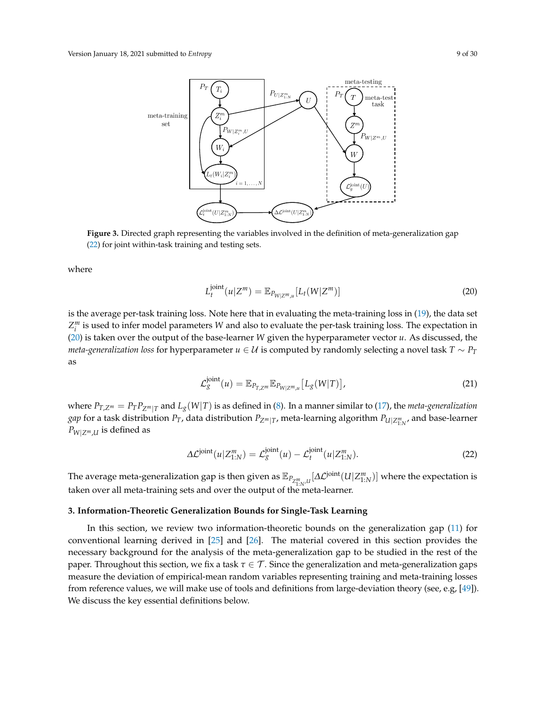<span id="page-8-0"></span>

**Figure 3.** Directed graph representing the variables involved in the definition of meta-generalization gap [\(22\)](#page-8-1) for joint within-task training and testing sets.

where

<span id="page-8-2"></span>
$$
L_t^{\text{joint}}(u|Z^m) = \mathbb{E}_{P_{W|Z^m,u}}[L_t(W|Z^m)]
$$
\n(20)

is the average per-task training loss. Note here that in evaluating the meta-training loss in [\(19\)](#page-7-3), the data set *Z m i* is used to infer model parameters *W* and also to evaluate the per-task training loss. The expectation in [\(20\)](#page-8-2) is taken over the output of the base-learner *W* given the hyperparameter vector *u*. As discussed, the *meta-generalization loss* for hyperparameter  $u \in U$  is computed by randomly selecting a novel task  $T \sim P_T$ as

<span id="page-8-1"></span>
$$
\mathcal{L}_g^{\text{joint}}(u) = \mathbb{E}_{P_{T,Z^m}} \mathbb{E}_{P_{W|Z^m,u}} \left[ L_g(W|T) \right],\tag{21}
$$

where  $P_{T,Z^m} = P_T P_{Z^m|T}$  and  $L_g(W|T)$  is as defined in [\(8\)](#page-5-3). In a manner similar to [\(17\)](#page-7-4), the *meta-generalization gap* for a task distribution  $P_T$ , data distribution  $P_{Z^m|T}$ , meta-learning algorithm  $P_{U|Z^m_{1:N'}}$ , and base-learner  $P_{W|Z^m,U}$  is defined as

$$
\Delta \mathcal{L}^{\text{joint}}(u|Z_{1:N}^m) = \mathcal{L}_g^{\text{joint}}(u) - \mathcal{L}_t^{\text{joint}}(u|Z_{1:N}^m). \tag{22}
$$

The average meta-generalization gap is then given as  $\mathbb{E}_{P_{\mathbb{Z}_{1:N}^m,l}}[\Delta \mathcal{L}^{\text{joint}}(U|\mathcal{Z}_{1:N}^m)]$  where the expectation is taken over all meta-training sets and over the output of the meta-learner.

#### <span id="page-8-3"></span>**3. Information-Theoretic Generalization Bounds for Single-Task Learning**

In this section, we review two information-theoretic bounds on the generalization gap [\(11\)](#page-5-1) for conventional learning derived in [\[25\]](#page-27-20) and [\[26\]](#page-28-0). The material covered in this section provides the necessary background for the analysis of the meta-generalization gap to be studied in the rest of the paper. Throughout this section, we fix a task *τ* ∈ T . Since the generalization and meta-generalization gaps measure the deviation of empirical-mean random variables representing training and meta-training losses from reference values, we will make use of tools and definitions from large-deviation theory (see, e.g, [\[49\]](#page-28-20)). We discuss the key essential definitions below.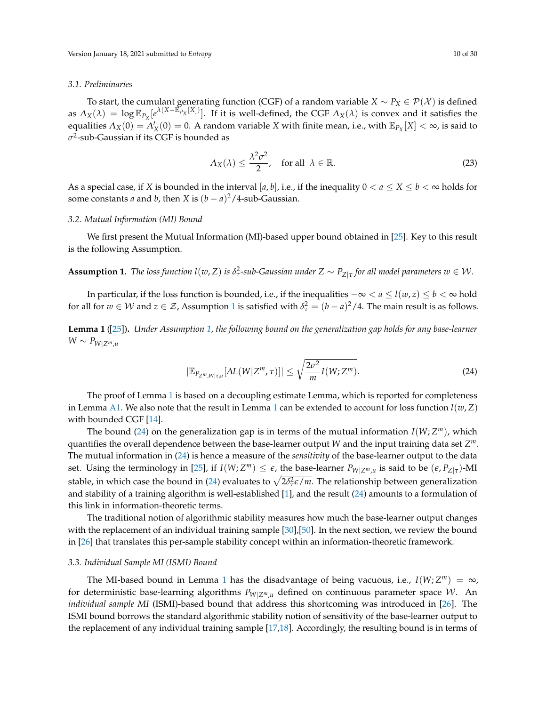#### *3.1. Preliminaries*

To start, the cumulant generating function (CGF) of a random variable  $X \sim P_X \in \mathcal{P}(\mathcal{X})$  is defined as  $\Lambda_X(\lambda) = \log \mathbb{E}_{P_X}[e^{\lambda(X - \mathbb{E}_{P_X}^Y[X])}]$ . If it is well-defined, the CGF  $\Lambda_X(\lambda)$  is convex and it satisfies the equalities  $Λ_X(0) = Λ'_X(0) = 0$ . A random variable *X* with finite mean, i.e., with  $\mathbb{E}_{P_X}[X] < \infty$ , is said to *σ* 2 -sub-Gaussian if its CGF is bounded as

$$
\Lambda_X(\lambda) \le \frac{\lambda^2 \sigma^2}{2}, \quad \text{for all} \ \lambda \in \mathbb{R}.
$$

As a special case, if *X* is bounded in the interval [*a*, *b*], i.e., if the inequality  $0 < a \le X \le b < \infty$  holds for some constants *a* and *b*, then *X* is  $(b - a)^2/4$ -sub-Gaussian.

# *3.2. Mutual Information (MI) Bound*

We first present the Mutual Information (MI)-based upper bound obtained in [\[25\]](#page-27-20). Key to this result is the following Assumption.

# <span id="page-9-0"></span>**Assumption 1.** *The loss function l*( $w$ ,  $Z$ ) *is*  $\delta^2_\tau$ *-sub-Gaussian under*  $Z \sim P_{Z|\tau}$  *for all model parameters*  $w \in W$ *.*

In particular, if the loss function is bounded, i.e., if the inequalities  $-\infty < a \le l(w, z) \le b < \infty$  hold for all for  $w \in W$  and  $z \in \mathcal{Z}$ , Assumption [1](#page-9-0) is satisfied with  $\delta^2_\tau = (b-a)^2/4$ . The main result is as follows.

<span id="page-9-1"></span>**Lemma 1** ([\[25\]](#page-27-20))**.** *Under Assumption [1,](#page-9-0) the following bound on the generalization gap holds for any base-learner W* ∼  $P_{W|Z^m,u}$ 

<span id="page-9-2"></span>
$$
|\mathbb{E}_{P_{Z^m,W|\tau,u}}[\Delta L(W|Z^m,\tau)]| \le \sqrt{\frac{2\sigma^2}{m}I(W;Z^m)}.
$$
\n(24)

The proof of Lemma [1](#page-9-1) is based on a decoupling estimate Lemma, which is reported for completeness in Lemma [A1.](#page-22-0) We also note that the result in Lemma [1](#page-9-1) can be extended to account for loss function  $l(w, Z)$ with bounded CGF [\[14\]](#page-27-9).

The bound [\(24\)](#page-9-2) on the generalization gap is in terms of the mutual information *I*(*W*; *Z <sup>m</sup>*), which quantifies the overall dependence between the base-learner output *W* and the input training data set *Z m*. The mutual information in [\(24\)](#page-9-2) is hence a measure of the *sensitivity* of the base-learner output to the data set. Using the terminology in [\[25\]](#page-27-20), if  $I(W; Z^m) \leq \epsilon$ , the base-learner  $P_{W|Z^m,u}$  is said to be  $(\epsilon, P_{Z|\tau})$ -MI stable, in which case the bound in [\(24\)](#page-9-2) evaluates to  $\sqrt{2\delta^2_\tau \epsilon/m}$ . The relationship between generalization and stability of a training algorithm is well-established [\[1\]](#page-27-0), and the result [\(24\)](#page-9-2) amounts to a formulation of this link in information-theoretic terms.

The traditional notion of algorithmic stability measures how much the base-learner output changes with the replacement of an individual training sample [\[30\]](#page-28-4), [\[50\]](#page-28-21). In the next section, we review the bound in [\[26\]](#page-28-0) that translates this per-sample stability concept within an information-theoretic framework.

#### *3.3. Individual Sample MI (ISMI) Bound*

The MI-based bound in Lemma [1](#page-9-1) has the disadvantage of being vacuous, i.e.,  $I(W; Z^m) = \infty$ , for deterministic base-learning algorithms  $P_{W|Z^m,u}$  defined on continuous parameter space W. An *individual sample MI* (ISMI)-based bound that address this shortcoming was introduced in [\[26\]](#page-28-0). The ISMI bound borrows the standard algorithmic stability notion of sensitivity of the base-learner output to the replacement of any individual training sample [\[17,](#page-27-12)[18\]](#page-27-13). Accordingly, the resulting bound is in terms of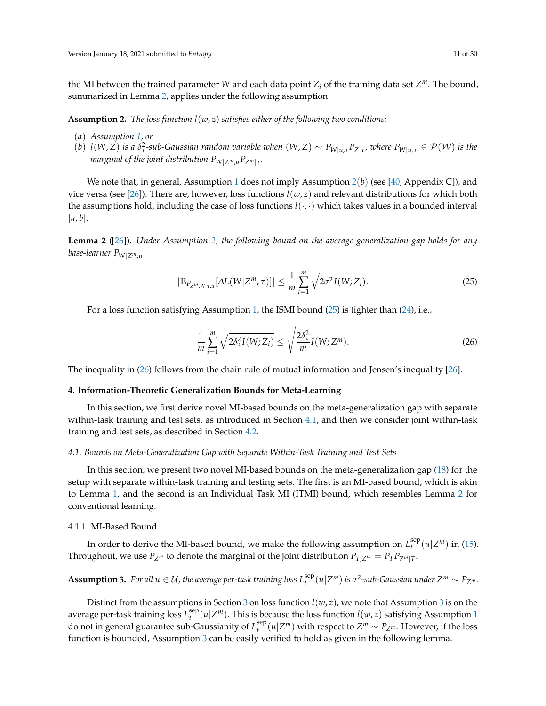the MI between the trained parameter W and each data point  $Z_i$  of the training data set  $Z^m$ . The bound, summarized in Lemma [2,](#page-10-0) applies under the following assumption.

<span id="page-10-1"></span>**Assumption 2.** *The loss function*  $l(w, z)$  *satisfies either of the following two conditions:* 

- (*a*) *Assumption [1,](#page-9-0) or*
- (b)  $l(W,Z)$  is a  $\delta^2_\tau$ -sub-Gaussian random variable when  $(W,Z) \sim P_{W|u,\tau} P_{Z|\tau}$ , where  $P_{W|u,\tau} \in \mathcal{P}(\mathcal{W})$  is the *marginal of the joint distribution PW*|*Zm*,*uPZm*|*<sup>τ</sup> .*

We note that, in general, Assumption [1](#page-9-0) does not imply Assumption  $2(b)$  $2(b)$  (see [\[40,](#page-28-12) Appendix C]), and vice versa (see [\[26\]](#page-28-0)). There are, however, loss functions *l*(*w*, *z*) and relevant distributions for which both the assumptions hold, including the case of loss functions *l*(·, ·) which takes values in a bounded interval  $|a, b|$ .

<span id="page-10-0"></span>**Lemma 2** ([\[26\]](#page-28-0))**.** *Under Assumption [2,](#page-10-1) the following bound on the average generalization gap holds for any base-learner PW*|*Zm*,*<sup>u</sup>*

$$
|\mathbb{E}_{P_{Z^m,W|\tau,u}}[\Delta L(W|Z^m,\tau)]| \leq \frac{1}{m} \sum_{i=1}^m \sqrt{2\sigma^2 I(W;Z_i)}.
$$
\n(25)

For a loss function satisfying Assumption [1,](#page-9-0) the ISMI bound [\(25\)](#page-10-2) is tighter than [\(24\)](#page-9-2), i.e.,

<span id="page-10-3"></span><span id="page-10-2"></span>
$$
\frac{1}{m}\sum_{i=1}^{m}\sqrt{2\delta_{\tau}^{2}I(W;Z_{i})}\leq\sqrt{\frac{2\delta_{\tau}^{2}}{m}I(W;Z^{m})}.
$$
\n(26)

The inequality in [\(26\)](#page-10-3) follows from the chain rule of mutual information and Jensen's inequality [\[26\]](#page-28-0).

#### **4. Information-Theoretic Generalization Bounds for Meta-Learning**

In this section, we first derive novel MI-based bounds on the meta-generalization gap with separate within-task training and test sets, as introduced in Section [4.1,](#page-10-4) and then we consider joint within-task training and test sets, as described in Section [4.2.](#page-13-1)

# <span id="page-10-4"></span>*4.1. Bounds on Meta-Generalization Gap with Separate Within-Task Training and Test Sets*

In this section, we present two novel MI-based bounds on the meta-generalization gap [\(18\)](#page-7-0) for the setup with separate within-task training and testing sets. The first is an MI-based bound, which is akin to Lemma [1,](#page-9-1) and the second is an Individual Task MI (ITMI) bound, which resembles Lemma [2](#page-10-0) for conventional learning.

#### 4.1.1. MI-Based Bound

In order to derive the MI-based bound, we make the following assumption on  $L_t^{\text{sep}}$  $t_t^{\text{sep}}(u|Z^m)$  in [\(15\)](#page-7-5). Throughout, we use  $P_{Z^m}$  to denote the marginal of the joint distribution  $P_{T,Z^m} = P_T P_{Z^m|T}$ .

<span id="page-10-5"></span>**Assumption 3.** For all  $u \in \mathcal{U}$ , the average per-task training loss  $L_t^{\text{sep}}$  $\int_t^{\text{sep}} (u | Z^m)$  *is*  $\sigma^2$ -sub-Gaussian under  $Z^m \sim P_{Z^m}$ .

Distinct from the assumptions in Section [3](#page-10-5) on loss function  $l(w, z)$ , we note that Assumption 3 is on the average per-task training loss *L* sep  $\int_t^{\text{sep}} (u | Z^m)$ . This is because the loss function *l*(*w*, *z*) satisfying Assumption [1](#page-9-0) do not in general guarantee sub-Gaussianity of *L* sep  $\sum_{t}^{sep}(u|Z^m)$  with respect to  $Z^m \sim P_{Z^m}$ . However, if the loss function is bounded, Assumption [3](#page-10-5) can be easily verified to hold as given in the following lemma.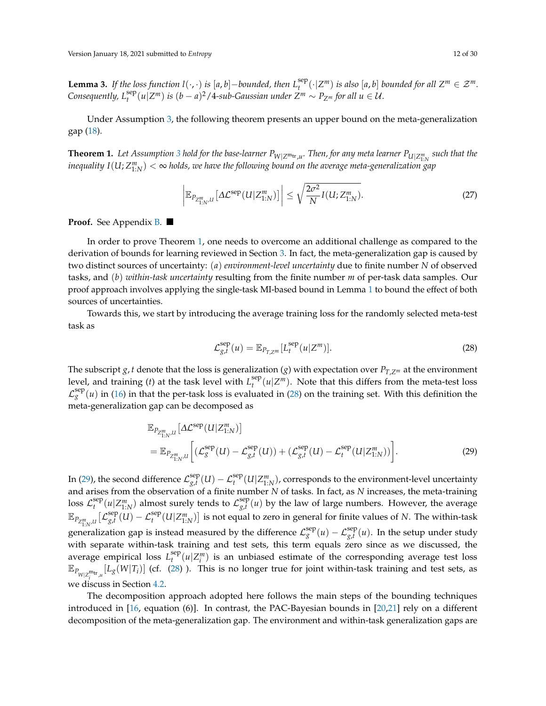<span id="page-11-4"></span>**Lemma 3.** *If the loss function l*( $\cdot$ , $\cdot$ ) *is* [*a*, *b*] −*bounded, then*  $L_t^{\text{sep}}$  $\mathbb{E}_t^{\text{sep}}(\cdot | Z^m)$  *is also* [*a*, *b*] *bounded for all*  $Z^m \in \mathcal{Z}^m$ *. Consequently,*  $L_t^{\text{sep}}(u|Z^m)$  *is*  $(b-a)^2/4$ -sub-Gaussian under  $Z^m \sim P_{Z^m}$  for all  $u \in \mathcal{U}$ .

Under Assumption [3,](#page-10-5) the following theorem presents an upper bound on the meta-generalization gap [\(18\)](#page-7-0).

<span id="page-11-0"></span> $\bf{Theorem~1.}$  Let Assumption [3](#page-10-5) hold for the base-learner  $P_{W|Z^{\sf m_{tr}},u}.$  Then, for any meta learner  $P_{U|Z^m_{1:N}}$  such that the  $\lim_{M\to\infty}$  *inequality*  $I(U; Z^m_{1:N}) < \infty$  holds, we have the following bound on the average meta-generalization gap

<span id="page-11-3"></span>
$$
\left| \mathbb{E}_{P_{Z_{1:N}^m,U}} \left[ \Delta \mathcal{L}^{\text{sep}}(U|Z_{1:N}^m) \right] \right| \leq \sqrt{\frac{2\sigma^2}{N} I(U;Z_{1:N}^m)}.
$$
\n(27)

**Proof.** See Appendix [B.](#page-22-1)

In order to prove Theorem [1,](#page-11-0) one needs to overcome an additional challenge as compared to the derivation of bounds for learning reviewed in Section [3.](#page-8-3) In fact, the meta-generalization gap is caused by two distinct sources of uncertainty: (*a*) *environment-level uncertainty* due to finite number *N* of observed tasks, and (*b*) *within-task uncertainty* resulting from the finite number *m* of per-task data samples. Our proof approach involves applying the single-task MI-based bound in Lemma [1](#page-9-1) to bound the effect of both sources of uncertainties.

Towards this, we start by introducing the average training loss for the randomly selected meta-test task as

<span id="page-11-2"></span><span id="page-11-1"></span>
$$
\mathcal{L}_{g,t}^{\text{sep}}(u) = \mathbb{E}_{P_{T,Z^m}}[L_t^{\text{sep}}(u|Z^m)].
$$
\n(28)

The subscript *g*, *t* denote that the loss is generalization (*g*) with expectation over  $P_{T,Z^m}$  at the environment level, and training  $(t)$  at the task level with  $L_t^{\text{sep}}$  $t_t^{\text{sep}}(u|Z^m)$ . Note that this differs from the meta-test loss  $\mathcal{L}^{\text{sep}}_g(u)$  in [\(16\)](#page-7-2) in that the per-task loss is evaluated in [\(28\)](#page-11-1) on the training set. With this definition the meta-generalization gap can be decomposed as

$$
\mathbb{E}_{P_{Z_{1:N}^m,U}}\left[\Delta \mathcal{L}^{\text{sep}}(U|Z_{1:N}^m)\right]
$$
\n
$$
= \mathbb{E}_{P_{Z_{1:N}^m,U}}\left[\left(\mathcal{L}_g^{\text{sep}}(U) - \mathcal{L}_{g,t}^{\text{sep}}(U)\right) + \left(\mathcal{L}_{g,t}^{\text{sep}}(U) - \mathcal{L}_t^{\text{sep}}(U|Z_{1:N}^m)\right)\right].
$$
\n(29)

In [\(29\)](#page-11-2), the second difference  $\mathcal{L}_{\mathfrak{o},t}^{\rm sep}$  $\int_{g,t}^{\rm sep} (U) - {\cal L}_t^{\rm sep} (U|{Z^m_{1:N}})$ , corresponds to the environment-level uncertainty and arises from the observation of a finite number *N* of tasks. In fact, as *N* increases, the meta-training loss  $\mathcal{L}^{\text{sep}}_t$  $\mathcal{L}^{\text{sep}}_t(u|Z^m_{1:N})$  almost surely tends to  $\mathcal{L}^{\text{sep}}_{g,t}$  $g_{f}(u)$  by the law of large numbers. However, the average  $\mathbb{E}_{P_{Z_{1:N}^m,U}}\big[\mathcal{L}^{\rm sep}_{g,t}$ generalization gap is instead measured by the difference  $\mathcal{L}^{\text{sep}}_g(u) - \mathcal{L}^{\text{sep}}_{g,t}(u)$ . In the setup under study  $g_{x,t}^{\text{sep}}(U) - \mathcal{L}_t^{\text{sep}}(U|Z_{1:N}^m)$  is not equal to zero in general for finite values of *N*. The within-task with separate within-task training and test sets, this term equals zero since as we discussed, the average empirical loss  $L_t^{\text{sep}}$  $t_t^{\text{sep}}(u|Z_i^m)$  is an unbiased estimate of the corresponding average test loss  $\mathbb{E}_{P_{W|Z_i^{\text{Int}},\mu}}[L_g(W|T_i)]$  (cf. [\(28\)](#page-11-1) ). This is no longer true for joint within-task training and test sets, as we discuss in Section [4.2.](#page-13-1)

The decomposition approach adopted here follows the main steps of the bounding techniques introduced in [\[16,](#page-27-11) equation (6)]. In contrast, the PAC-Bayesian bounds in [\[20](#page-27-15)[,21\]](#page-27-16) rely on a different decomposition of the meta-generalization gap. The environment and within-task generalization gaps are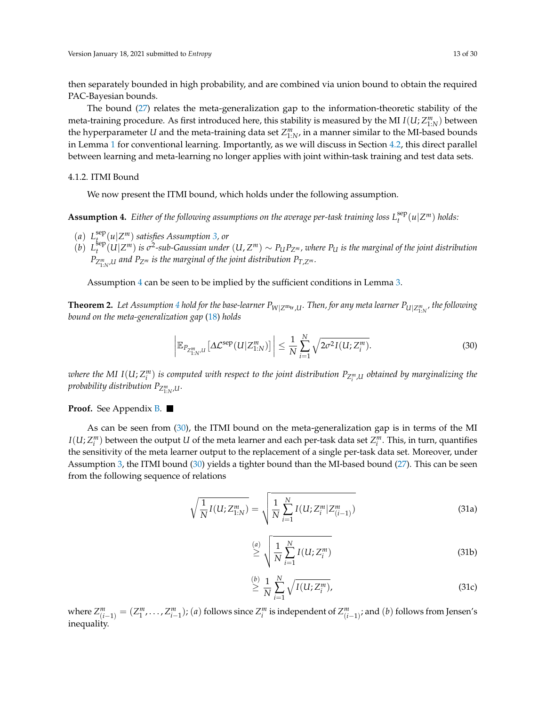then separately bounded in high probability, and are combined via union bound to obtain the required PAC-Bayesian bounds.

The bound [\(27\)](#page-11-3) relates the meta-generalization gap to the information-theoretic stability of the meta-training procedure. As first introduced here, this stability is measured by the MI  $I(U; Z^{m}_{1:N})$  between the hyperparameter  $U$  and the meta-training data set  $Z^m_{1:N}$ , in a manner similar to the MI-based bounds in Lemma [1](#page-9-1) for conventional learning. Importantly, as we will discuss in Section [4.2,](#page-13-1) this direct parallel between learning and meta-learning no longer applies with joint within-task training and test data sets.

## <span id="page-12-3"></span>4.1.2. ITMI Bound

We now present the ITMI bound, which holds under the following assumption.

<span id="page-12-1"></span> $A$ ssumption 4. Either of the following assumptions on the average per-task training loss  $L_t^{\text{sep}}(u|Z^m)$  holds:

- $(a)$   $L_t^{\text{sep}}$ *t* (*u*|*Z <sup>m</sup>*) *satisfies Assumption [3,](#page-10-5) or*
- $(b)$   $L_t^{\text{sep}}$  $_{t}^{\rm sep}(U|Z^m)$  is  $\sigma^2$ -sub-Gaussian under  $(U,Z^m)\sim P_U P_{Z^m}$ , where  $P_U$  is the marginal of the joint distribution *PZ m* 1:*N* ,*<sup>U</sup> and PZ<sup>m</sup> is the marginal of the joint distribution PT*,*Z<sup>m</sup> .*

Assumption [4](#page-12-1) can be seen to be implied by the sufficient conditions in Lemma [3.](#page-11-4)

<span id="page-12-0"></span>**Theorem 2.** Let Assumption [4](#page-12-1) hold for the base-learner  $P_{W|Z^{\text{m}_{\text{tr}},U}}$ . Then, for any meta learner  $P_{U|Z^m_{1:N}}$ , the following *bound on the meta-generalization gap* [\(18\)](#page-7-0) *holds*

<span id="page-12-2"></span>
$$
\left| \mathbb{E}_{P_{Z_{1:N}^m,U}} \left[ \Delta \mathcal{L}^{\text{sep}}(U|Z_{1:N}^m) \right] \right| \leq \frac{1}{N} \sum_{i=1}^N \sqrt{2\sigma^2 I(U;Z_i^m)}.
$$
\n(30)

 $i$  *where the MI I*(U;  $Z_i^m$ ) is computed with respect to the joint distribution  $P_{Z_i^m,U}$  obtained by marginalizing the *probability distribution P<sup>Z</sup> m* 1:*N* ,*U.*

### **Proof.** See Appendix **B**.

As can be seen from [\(30\)](#page-12-2), the ITMI bound on the meta-generalization gap is in terms of the MI  $I(U; Z_i^m)$  between the output *U* of the meta learner and each per-task data set  $Z_i^m$ . This, in turn, quantifies the sensitivity of the meta learner output to the replacement of a single per-task data set. Moreover, under Assumption [3,](#page-10-5) the ITMI bound [\(30\)](#page-12-2) yields a tighter bound than the MI-based bound [\(27\)](#page-11-3). This can be seen from the following sequence of relations

$$
\sqrt{\frac{1}{N}I(U;Z_{1:N}^m)} = \sqrt{\frac{1}{N}\sum_{i=1}^{N}I(U;Z_i^m|Z_{(i-1)}^m)}
$$
(31a)

$$
\stackrel{(a)}{\geq} \sqrt{\frac{1}{N} \sum_{i=1}^{N} I(U;Z_i^m)}
$$
\n(31b)

<span id="page-12-4"></span>
$$
\stackrel{(b)}{\geq} \frac{1}{N} \sum_{i=1}^{N} \sqrt{I(U;Z_i^m)},
$$
\n(31c)

where  $Z_{(i-1)}^m = (Z_1^m, \ldots, Z_{i-1}^m)$ ; (a) follows since  $Z_i^m$  is independent of  $Z_{(i-1)}^m$ ; and (b) follows from Jensen's inequality.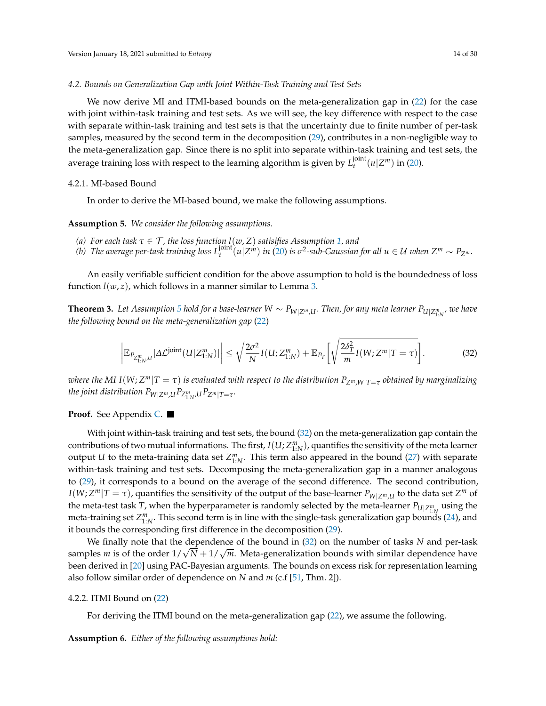#### <span id="page-13-1"></span>*4.2. Bounds on Generalization Gap with Joint Within-Task Training and Test Sets*

We now derive MI and ITMI-based bounds on the meta-generalization gap in [\(22\)](#page-8-1) for the case with joint within-task training and test sets. As we will see, the key difference with respect to the case with separate within-task training and test sets is that the uncertainty due to finite number of per-task samples, measured by the second term in the decomposition [\(29\)](#page-11-2), contributes in a non-negligible way to the meta-generalization gap. Since there is no split into separate within-task training and test sets, the average training loss with respect to the learning algorithm is given by  $L_{t}^{\rm joint}$  $t^{joint}(u|Z^m)$  in [\(20\)](#page-8-2).

# 4.2.1. MI-based Bound

In order to derive the MI-based bound, we make the following assumptions.

<span id="page-13-2"></span>**Assumption 5.** *We consider the following assumptions.*

- *(a) For each task τ* ∈ T *, the loss function l*(*w*, *Z*) *satisifies Assumption [1,](#page-9-0) and*
- (b) The average per-task training loss  $L_t^{joint}(u|Z^m)$  in [\(20\)](#page-8-2) is  $\sigma^2$ -sub-Gaussian for all  $u \in \mathcal{U}$  when  $Z^m \sim P_{Z^m}$ .

An easily verifiable sufficient condition for the above assumption to hold is the boundedness of loss function  $l(w, z)$ , which follows in a manner similar to Lemma [3.](#page-11-4)

<span id="page-13-0"></span>**Theorem 3.** Let Assumption [5](#page-13-2) hold for a base-learner  $W \sim P_{W|Z^m,U}$ . Then, for any meta learner  $P_{U|Z^m_{1:N}}$ , we have *the following bound on the meta-generalization gap* [\(22\)](#page-8-1)

<span id="page-13-3"></span>
$$
\left| \mathbb{E}_{P_{Z_{1:N}^m,U}}[\Delta \mathcal{L}^{\text{joint}}(U|Z_{1:N}^m)] \right| \leq \sqrt{\frac{2\sigma^2}{N}I(U;Z_{1:N}^m)} + \mathbb{E}_{P_T}\bigg[\sqrt{\frac{2\delta_T^2}{m}I(W;Z^m|T=\tau)}\bigg].\tag{32}
$$

 $\alpha$  *Deta I* and *I* (W; Z<sup>m</sup>|T  $=\tau$  ) is evaluated with respect to the distribution  $P_{Z^m,W|T=\tau}$  obtained by marginalizing *the joint distribution*  $P_{W|Z^m,U}P_{Z_{1:N}^m,U}P_{Z^m|T=\tau}.$ 

**Proof.** See Appendix [C.](#page-24-0)

With joint within-task training and test sets, the bound [\(32\)](#page-13-3) on the meta-generalization gap contain the contributions of two mutual informations. The first,  $I(U;Z^m_{1:N})$ , quantifies the sensitivity of the meta learner output *U* to the meta-training data set  $Z^m_{1:N}$ . This term also appeared in the bound [\(27\)](#page-11-3) with separate within-task training and test sets. Decomposing the meta-generalization gap in a manner analogous to [\(29\)](#page-11-2), it corresponds to a bound on the average of the second difference. The second contribution,  $I(W; Z^m | T = \tau)$ , quantifies the sensitivity of the output of the base-learner  $P_{W|Z^m,U}$  to the data set  $Z^m$  of the meta-test task *T*, when the hyperparameter is randomly selected by the meta-learner  $P_{U|Z^m_{1:N}}$  using the meta-training set  $Z_{1:N}^m$ . This second term is in line with the single-task generalization gap bounds [\(24\)](#page-9-2), and it bounds the corresponding first difference in the decomposition [\(29\)](#page-11-2).

We finally note that the dependence of the bound in  $(32)$  on the number of tasks *N* and per-task samples *m* is of the order  $1/\sqrt{N}+1/\sqrt{m}$ . Meta-generalization bounds with similar dependence have been derived in [\[20\]](#page-27-15) using PAC-Bayesian arguments. The bounds on excess risk for representation learning also follow similar order of dependence on *N* and *m* (c.f [\[51,](#page-29-0) Thm. 2]).

#### 4.2.2. ITMI Bound on [\(22\)](#page-8-1)

For deriving the ITMI bound on the meta-generalization gap [\(22\)](#page-8-1), we assume the following.

<span id="page-13-4"></span>**Assumption 6.** *Either of the following assumptions hold:*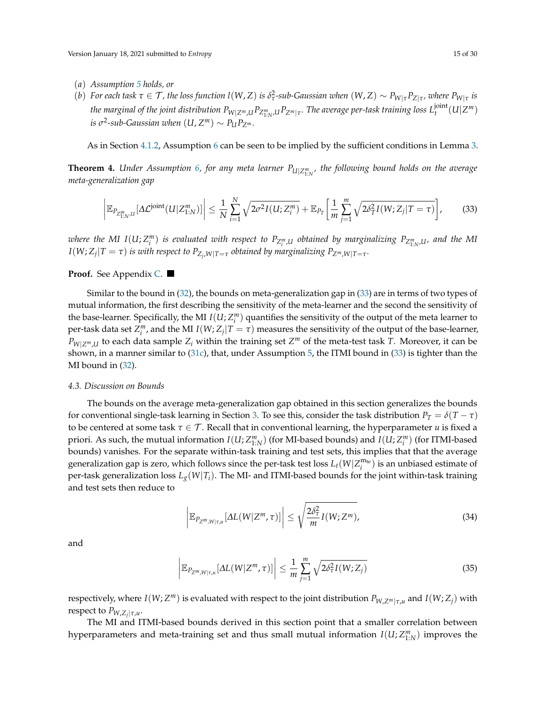- (*a*) *Assumption [5](#page-13-2) holds, or*
- (b) For each task  $\tau \in \mathcal{T}$ , the loss function  $l(W, Z)$  is  $\delta^2_\tau$ -sub-Gaussian when  $(W, Z) \sim P_{W|\tau} P_{Z|\tau}$ , where  $P_{W|\tau}$  is the marginal of the joint distribution  $P_{W|Z^m,U}P_{Z^m_{1:N}\cup I}P_{Z^m|\tau}.$  The average per-task training loss  $L_t^{\rm joint}$  $\int_t^{\text{joint}} (U | Z^m)$  $i$ *s*  $\sigma$ <sup>2</sup>-sub-Gaussian when  $(U, Z^m) \sim P_U P_{Z^m}$ .

As in Section [4.1.2,](#page-12-3) Assumption [6](#page-13-4) can be seen to be implied by the sufficient conditions in Lemma [3.](#page-11-4)

<span id="page-14-0"></span>**Theorem 4.** Under Assumption [6,](#page-13-4) for any meta learner  $P_{U|Z^m_{1:N}}$ , the following bound holds on the average *meta-generalization gap*

<span id="page-14-1"></span>
$$
\left|\mathbb{E}_{P_{Z_{1:N}^m,U}}[\Delta \mathcal{L}^{\text{joint}}(U|Z_{1:N}^m)]\right| \leq \frac{1}{N} \sum_{i=1}^N \sqrt{2\sigma^2 I(U;Z_i^m)} + \mathbb{E}_{P_T}\left[\frac{1}{m} \sum_{j=1}^m \sqrt{2\delta_T^2 I(W;Z_j|T=\tau)}\right],\tag{33}
$$

where the MI I(U;  $Z_i^m$ ) is evaluated with respect to  $P_{Z_i^m,U}$  obtained by marginalizing  $P_{Z_{1:N}^m,U}$ , and the MI  $I(W; Z_j | T = \tau)$  *is with respect to*  $P_{Z_j, W | T = \tau}$  *obtained by marginalizing*  $P_{Z^m, W | T = \tau}$ *.* 

# **Proof.** See Appendix [C.](#page-24-0)

Similar to the bound in [\(32\)](#page-13-3), the bounds on meta-generalization gap in [\(33\)](#page-14-1) are in terms of two types of mutual information, the first describing the sensitivity of the meta-learner and the second the sensitivity of the base-learner. Specifically, the MI  $I(U; Z_i^m)$  quantifies the sensitivity of the output of the meta learner to per-task data set  $Z_i^m$ , and the MI  $I(W; Z_j | T = \tau)$  measures the sensitivity of the output of the base-learner,  $P_{W|Z^m,U}$  to each data sample  $Z_i$  within the training set  $Z^m$  of the meta-test task *T*. Moreover, it can be shown, in a manner similar to  $(31c)$ , that, under Assumption [5,](#page-13-2) the ITMI bound in  $(33)$  is tighter than the MI bound in [\(32\)](#page-13-3).

# *4.3. Discussion on Bounds*

The bounds on the average meta-generalization gap obtained in this section generalizes the bounds for conventional single-task learning in Section [3.](#page-8-3) To see this, consider the task distribution  $P_T = \delta(T - \tau)$ to be centered at some task  $\tau \in \mathcal{T}$ . Recall that in conventional learning, the hyperparameter *u* is fixed a priori. As such, the mutual information  $I(U;Z^m_{1:N})$  (for MI-based bounds) and  $I(U;Z^m_i)$  (for ITMI-based bounds) vanishes. For the separate within-task training and test sets, this implies that that the average generalization gap is zero, which follows since the per-task test loss  $L_t(W|Z_i^{\text{m}_\text{te}})$  is an unbiased estimate of per-task generalization loss  $L_g(W|T_i)$ . The MI- and ITMI-based bounds for the joint within-task training and test sets then reduce to

$$
\left| \mathbb{E}_{P_{Z^m,W|\tau,u}}[\Delta L(W|Z^m,\tau)] \right| \leq \sqrt{\frac{2\delta_\tau^2}{m}I(W;Z^m)},\tag{34}
$$

and

$$
\left| \mathbb{E}_{P_{Z^m,W|\tau,u}}[\Delta L(W|Z^m,\tau)] \right| \leq \frac{1}{m} \sum_{j=1}^m \sqrt{2\delta_\tau^2 I(W;Z_j)}\tag{35}
$$

respectively, where  $I(W; Z^m)$  is evaluated with respect to the joint distribution  $P_{W,Z^m|\tau,\mu}$  and  $I(W; Z_j)$  with respect to *PW*,*Z<sup>j</sup>* |*τ*,*u* .

The MI and ITMI-based bounds derived in this section point that a smaller correlation between hyperparameters and meta-training set and thus small mutual information  $I(U; Z^m_{1:N})$  improves the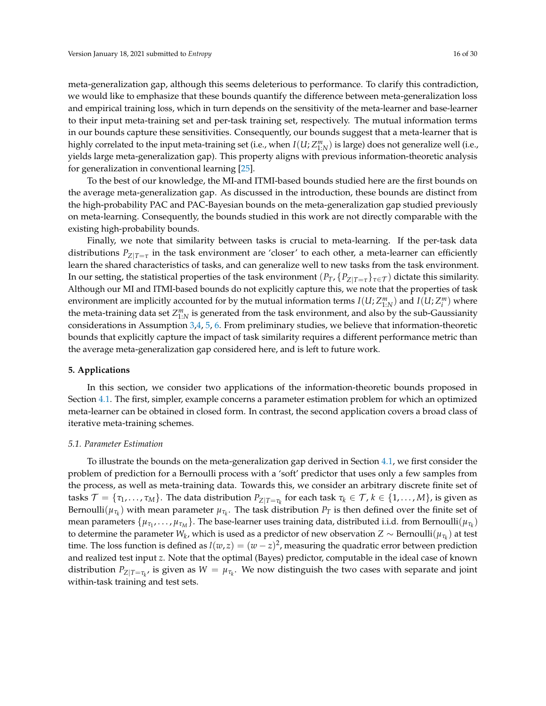meta-generalization gap, although this seems deleterious to performance. To clarify this contradiction, we would like to emphasize that these bounds quantify the difference between meta-generalization loss and empirical training loss, which in turn depends on the sensitivity of the meta-learner and base-learner to their input meta-training set and per-task training set, respectively. The mutual information terms in our bounds capture these sensitivities. Consequently, our bounds suggest that a meta-learner that is highly correlated to the input meta-training set (i.e., when  $I(U; Z^m_{1:N})$  is large) does not generalize well (i.e., yields large meta-generalization gap). This property aligns with previous information-theoretic analysis for generalization in conventional learning [\[25\]](#page-27-20).

To the best of our knowledge, the MI-and ITMI-based bounds studied here are the first bounds on the average meta-generalization gap. As discussed in the introduction, these bounds are distinct from the high-probability PAC and PAC-Bayesian bounds on the meta-generalization gap studied previously on meta-learning. Consequently, the bounds studied in this work are not directly comparable with the existing high-probability bounds.

Finally, we note that similarity between tasks is crucial to meta-learning. If the per-task data distributions  $P_{Z|T=\tau}$  in the task environment are 'closer' to each other, a meta-learner can efficiently learn the shared characteristics of tasks, and can generalize well to new tasks from the task environment. In our setting, the statistical properties of the task environment  $(P_T, \{P_{Z|T=\tau}\}_{\tau \in \mathcal{T}})$  dictate this similarity. Although our MI and ITMI-based bounds do not explicitly capture this, we note that the properties of task environment are implicitly accounted for by the mutual information terms  $I(U; Z^m_{1:N})$  and  $I(U; Z^m_i)$  where the meta-training data set  $Z_{1:N}^m$  is generated from the task environment, and also by the sub-Gaussianity considerations in Assumption [3,](#page-10-5)[4,](#page-12-1) [5,](#page-13-2) [6.](#page-13-4) From preliminary studies, we believe that information-theoretic bounds that explicitly capture the impact of task similarity requires a different performance metric than the average meta-generalization gap considered here, and is left to future work.

### **5. Applications**

In this section, we consider two applications of the information-theoretic bounds proposed in Section [4.1.](#page-10-4) The first, simpler, example concerns a parameter estimation problem for which an optimized meta-learner can be obtained in closed form. In contrast, the second application covers a broad class of iterative meta-training schemes.

### <span id="page-15-0"></span>*5.1. Parameter Estimation*

To illustrate the bounds on the meta-generalization gap derived in Section [4.1,](#page-10-4) we first consider the problem of prediction for a Bernoulli process with a 'soft' predictor that uses only a few samples from the process, as well as meta-training data. Towards this, we consider an arbitrary discrete finite set of  $\mathcal{T}=\{\tau_1,\ldots,\tau_M\}.$  The data distribution  $P_{Z|T=\tau_k}$  for each task  $\tau_k\in\mathcal{T}$ ,  $k\in\{1,\ldots,M\}$ , is given as Bernoulli $(\mu_{\tau_k})$  with mean parameter  $\mu_{\tau_k}$ . The task distribution  $P_T$  is then defined over the finite set of mean parameters  $\{\mu_{\tau_1},\dots,\mu_{\tau_M}\}.$  The base-learner uses training data, distributed i.i.d. from Bernoulli $(\mu_{\tau_k})$ to determine the parameter  $W_k$ , which is used as a predictor of new observation  $Z\sim \text{Bernoulli}(\mu_{\tau_k})$  at test time. The loss function is defined as  $l(w, z) = (w - z)^2$ , measuring the quadratic error between prediction and realized test input *z*. Note that the optimal (Bayes) predictor, computable in the ideal case of known distribution  $P_{Z|T=\tau_k}$ , is given as  $W = \mu_{\tau_k}$ . We now distinguish the two cases with separate and joint within-task training and test sets.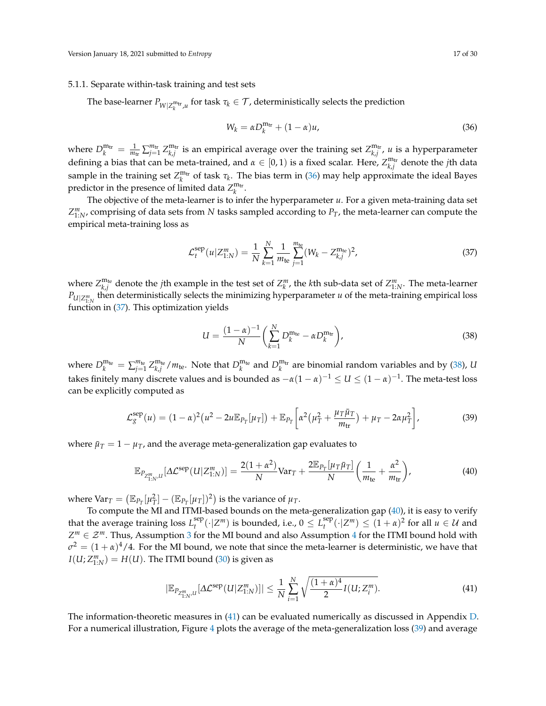# 5.1.1. Separate within-task training and test sets

The base-learner  $P_{W|Z_k^{\text{m}_{\text{tr}},u}}$  for task  $\tau_k \in \mathcal{T}$ , deterministically selects the prediction

<span id="page-16-1"></span><span id="page-16-0"></span>
$$
W_k = \alpha D_k^{\text{m}_{\text{tr}}} + (1 - \alpha)u,\tag{36}
$$

where  $D_k^{\text{m}_{tr}} = \frac{1}{m_{tr}} \sum_{j=1}^{m_{tr}} Z_{k,j}^{\text{m}_{tr}}$  is an empirical average over the training set  $Z_{k,j}^{\text{m}_{tr}}$ , *u* is a hyperparameter defining a bias that can be meta-trained, and  $\alpha \in [0,1)$  is a fixed scalar. Here,  $Z_{k,j}^{\text{m}_{\text{tr}}}$  denote the *j*th data sample in the training set  $Z_k^{m_{tr}}$  of task  $\tau_k$ . The bias term in [\(36\)](#page-16-0) may help approximate the ideal Bayes predictor in the presence of limited data  $Z_k^{\text{m}_{\text{tr}}}.$ 

The objective of the meta-learner is to infer the hyperparameter *u*. For a given meta-training data set *Z m* 1:*N* , comprising of data sets from *N* tasks sampled according to *PT*, the meta-learner can compute the empirical meta-training loss as

$$
\mathcal{L}_{t}^{\text{sep}}(u|Z_{1:N}^{m}) = \frac{1}{N} \sum_{k=1}^{N} \frac{1}{m_{\text{te}}} \sum_{j=1}^{m_{\text{te}}} (W_k - Z_{k,j}^{\text{m}_{\text{te}}})^2, \tag{37}
$$

where  $Z_{k,j}^{\text{m}_{\text{te}}}$  denote the *j*th example in the test set of  $Z_k^m$ , the *k*th sub-data set of  $Z_{1:N}^m$ . The meta-learner  $P_{U|Z_{1:N}^m}$  then deterministically selects the minimizing hyperparameter *u* of the meta-training empirical loss function in [\(37\)](#page-16-1). This optimization yields

<span id="page-16-5"></span><span id="page-16-3"></span><span id="page-16-2"></span>
$$
U = \frac{(1 - \alpha)^{-1}}{N} \left( \sum_{k=1}^{N} D_k^{m_{\text{te}}} - \alpha D_k^{m_{\text{tr}}} \right),\tag{38}
$$

where  $D_k^{\text{m}_{\text{te}}} = \sum_{j=1}^{m_{\text{te}}} Z_{k,j}^{\text{m}_{\text{te}}} / m_{\text{te}}$ . Note that  $D_k^{\text{m}_{\text{te}}}$  and  $D_k^{\text{m}_{\text{tr}}}$  are binomial random variables and by [\(38\)](#page-16-2), *U* takes finitely many discrete values and is bounded as  $-\alpha(1-\alpha)^{-1}\leq U\leq (1-\alpha)^{-1}.$  The meta-test loss can be explicitly computed as

$$
\mathcal{L}_g^{\text{sep}}(u) = (1 - \alpha)^2 (u^2 - 2u \mathbb{E}_{P_T}[\mu_T]) + \mathbb{E}_{P_T} \left[ \alpha^2 (\mu_T^2 + \frac{\mu_T \bar{\mu}_T}{m_{\text{tr}}} ) + \mu_T - 2\alpha \mu_T^2 \right],
$$
(39)

where  $\bar{\mu}_T = 1 - \mu_T$ , and the average meta-generalization gap evaluates to

$$
\mathbb{E}_{P_{Z_{1:N}^m,U}}[\Delta \mathcal{L}^{\text{sep}}(U|Z_{1:N}^m)] = \frac{2(1+\alpha^2)}{N} \text{Var}_T + \frac{2\mathbb{E}_{P_T}[\mu_T \bar{\mu}_T]}{N} \left(\frac{1}{m_{\text{te}}} + \frac{\alpha^2}{m_{\text{tr}}}\right),\tag{40}
$$

where  $\text{Var}_T = (\mathbb{E}_{P_T}[\mu_T^2] - (\mathbb{E}_{P_T}[\mu_T])^2)$  is the variance of  $\mu_T$ .

To compute the MI and ITMI-based bounds on the meta-generalization gap [\(40\)](#page-16-3), it is easy to verify that the average training loss  $L_t^{\text{sep}}$  $\int_t^{\text{sep}}(\cdot|Z^m)$  is bounded, i.e.,  $0 \leq L_t^{\text{sep}}$  $\int_t^{\text{sep}} (\cdot | Z^m) \le (1 + \alpha)^2 \text{ for all } u \in \mathcal{U} \text{ and }$  $Z^m \in \mathcal{Z}^m$ . Thus, Assumption [3](#page-10-5) for the MI bound and also Assumption [4](#page-12-1) for the ITMI bound hold with  $\sigma^2 = (1 + \alpha)^4/4$ . For the MI bound, we note that since the meta-learner is deterministic, we have that  $I(U; Z^{m}_{1:N}) = H(U)$ . The ITMI bound [\(30\)](#page-12-2) is given as

<span id="page-16-4"></span>
$$
|\mathbb{E}_{P_{Z_{1:N}^m,U}}[\Delta \mathcal{L}^{\text{sep}}(U|Z_{1:N}^m)]| \leq \frac{1}{N} \sum_{i=1}^N \sqrt{\frac{(1+\alpha)^4}{2} I(U;Z_i^m)}.
$$
\n(41)

The information-theoretic measures in [\(41\)](#page-16-4) can be evaluated numerically as discussed in Appendix [D.](#page-25-0) For a numerical illustration, Figure [4](#page-17-0) plots the average of the meta-generalization loss [\(39\)](#page-16-5) and average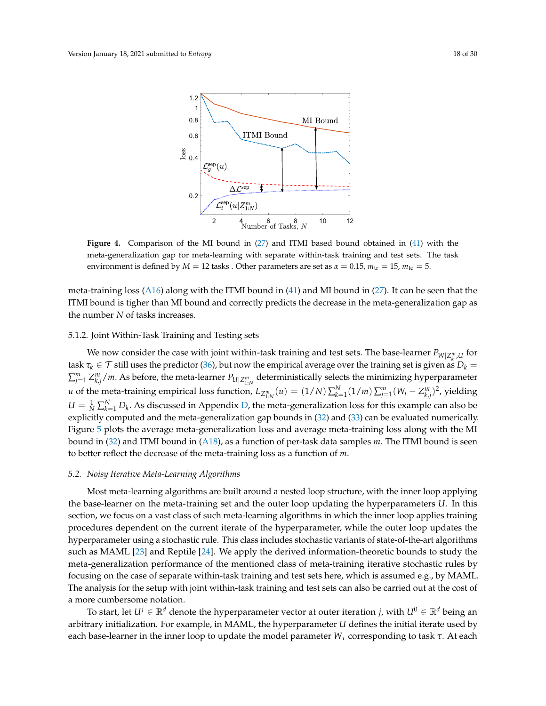<span id="page-17-0"></span>

**Figure 4.** Comparison of the MI bound in [\(27\)](#page-11-3) and ITMI based bound obtained in [\(41\)](#page-16-4) with the meta-generalization gap for meta-learning with separate within-task training and test sets. The task environment is defined by  $M = 12$  tasks . Other parameters are set as  $\alpha = 0.15$ ,  $m_{\text{tr}} = 15$ ,  $m_{\text{te}} = 5$ .

meta-training loss [\(A16\)](#page-25-1) along with the ITMI bound in [\(41\)](#page-16-4) and MI bound in [\(27\)](#page-11-3). It can be seen that the ITMI bound is tigher than MI bound and correctly predicts the decrease in the meta-generalization gap as the number *N* of tasks increases.

# 5.1.2. Joint Within-Task Training and Testing sets

We now consider the case with joint within-task training and test sets. The base-learner  $P_{W|Z^m_\nu,U}$  for task  $\tau_k \in \mathcal{T}$  still uses the predictor [\(36\)](#page-16-0), but now the empirical average over the training set is given as  $D_k =$  $\sum_{j=1}^m Z_{k,j}^m/m$ . As before, the meta-learner  $P_{U|Z_{1:N}^m}$  deterministically selects the minimizing hyperparameter u of the meta-training empirical loss function,  $L_{Z^m_{1:N}}(u)=(1/N)\sum_{k=1}^N(1/m)\sum_{j=1}^m (W_i-Z^m_{k,j})^2$ , yielding  $U = \frac{1}{N} \sum_{k=1}^{N} D_k$ . As discussed in Appendix [D,](#page-25-0) the meta-generalization loss for this example can also be explicitly computed and the meta-generalization gap bounds in [\(32\)](#page-13-3) and [\(33\)](#page-14-1) can be evaluated numerically. Figure [5](#page-18-0) plots the average meta-generalization loss and average meta-training loss along with the MI bound in [\(32\)](#page-13-3) and ITMI bound in [\(A18\)](#page-26-0), as a function of per-task data samples *m*. The ITMI bound is seen to better reflect the decrease of the meta-training loss as a function of *m*.

#### *5.2. Noisy Iterative Meta-Learning Algorithms*

Most meta-learning algorithms are built around a nested loop structure, with the inner loop applying the base-learner on the meta-training set and the outer loop updating the hyperparameters *U*. In this section, we focus on a vast class of such meta-learning algorithms in which the inner loop applies training procedures dependent on the current iterate of the hyperparameter, while the outer loop updates the hyperparameter using a stochastic rule. This class includes stochastic variants of state-of-the-art algorithms such as MAML [\[23\]](#page-27-18) and Reptile [\[24\]](#page-27-19). We apply the derived information-theoretic bounds to study the meta-generalization performance of the mentioned class of meta-training iterative stochastic rules by focusing on the case of separate within-task training and test sets here, which is assumed e.g., by MAML. The analysis for the setup with joint within-task training and test sets can also be carried out at the cost of a more cumbersome notation.

To start, let  $U^j \in \mathbb{R}^d$  denote the hyperparameter vector at outer iteration *j*, with  $U^0 \in \mathbb{R}^d$  being an arbitrary initialization. For example, in MAML, the hyperparameter *U* defines the initial iterate used by each base-learner in the inner loop to update the model parameter *W<sup>τ</sup>* corresponding to task *τ*. At each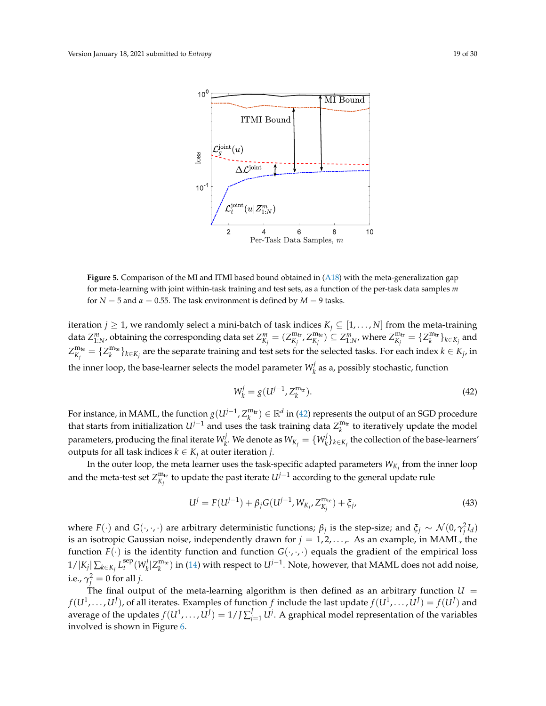<span id="page-18-0"></span>

**Figure 5.** Comparison of the MI and ITMI based bound obtained in [\(A18\)](#page-26-0) with the meta-generalization gap for meta-learning with joint within-task training and test sets, as a function of the per-task data samples *m* for  $N = 5$  and  $\alpha = 0.55$ . The task environment is defined by  $M = 9$  tasks.

iteration *j*  $\geq$  1, we randomly select a mini-batch of task indices  $K_j \subseteq [1, \ldots, N]$  from the meta-training data  $Z_{1:N}^m$ , obtaining the corresponding data set  $Z_{K_j}^m=(Z_{K_j}^{\mathfrak{m}_{\text{tr}}},Z_{K_j}^{\mathfrak{m}_{\text{te}}})\subseteq Z_{1:N'}^m$ , where  $Z_{K_j}^{\mathfrak{m}_{\text{tr}}}=\{Z_{k}^{\mathfrak{m}_{\text{tr}}}\}_{k\in K_j}$  and  $Z_{K_j}^{\text{m}_{\text{te}}} = \{Z_k^{\text{m}_{\text{te}}}\}_{k \in K_j}$  are the separate training and test sets for the selected tasks. For each index  $k \in K_j$ , in the inner loop, the base-learner selects the model parameter  $W_k^j$  $\frac{y}{k}$  as a, possibly stochastic, function

<span id="page-18-2"></span><span id="page-18-1"></span>
$$
W_k^j = g(U^{j-1}, Z_k^{\mathfrak{m}_{\text{tr}}}).
$$
\n(42)

For instance, in MAML, the function  $g(U^{j-1}, Z_k^{m_{tr}}) \in \mathbb{R}^d$  in [\(42\)](#page-18-1) represents the output of an SGD procedure that starts from initialization  $U^{j-1}$  and uses the task training data  $Z_k^{m_{tr}}$  to iteratively update the model parameters, producing the final iterate  $W_k^j$  $\mathbb{W}_k^j$ . We denote as  $W_{K_j} = \{W_k^j\}$  $\{f_k\}_{k \in K_j}$  the collection of the base-learners' outputs for all task indices  $k \in K_j$  at outer iteration *j*.

In the outer loop, the meta learner uses the task-specific adapted parameters  $W_{K_j}$  from the inner loop and the meta-test set  $Z_{K_j}^{\text{m}_{\text{te}}}$  to update the past iterate  $U^{j-1}$  according to the general update rule

$$
U^{j} = F(U^{j-1}) + \beta_{j} G(U^{j-1}, W_{K_{j}}, Z_{K_{j}}^{\mathfrak{m}_{\text{te}}}) + \xi_{j},
$$
\n(43)

where  $F(\cdot)$  and  $G(\cdot, \cdot, \cdot)$  are arbitrary deterministic functions;  $\beta_j$  is the step-size; and  $\xi_j \sim \mathcal{N}(0, \gamma_j^2 I_d)$ is an isotropic Gaussian noise, independently drawn for  $j = 1, 2, \ldots$ , As an example, in MAML, the function  $F(\cdot)$  is the identity function and function  $G(\cdot,\cdot,\cdot)$  equals the gradient of the empirical loss  $1/|K_j| \sum_{k \in K_j} L_i^{\text{sep}}$  $\sum_{t}^{\text{sep}} (W_k^j)$  $\mathcal{H}_k^j | Z_k^{\text{m}_{\text{te}}})$  in [\(14\)](#page-7-1) with respect to  $U^{j-1}$ . Note, however, that MAML does not add noise, i.e.,  $\gamma_j^2 = 0$  for all *j*.

The final output of the meta-learning algorithm is then defined as an arbitrary function  $U =$  $f(U^1,\ldots,U^J)$ , of all iterates. Examples of function  $f$  include the last update  $f(U^1,\ldots,U^J)=f(U^J)$  and average of the updates  $f(U^1,\ldots,U^J)=1$  / *J*  $\sum_{j=1}^J U^j$ . A graphical model representation of the variables involved is shown in Figure [6.](#page-19-0)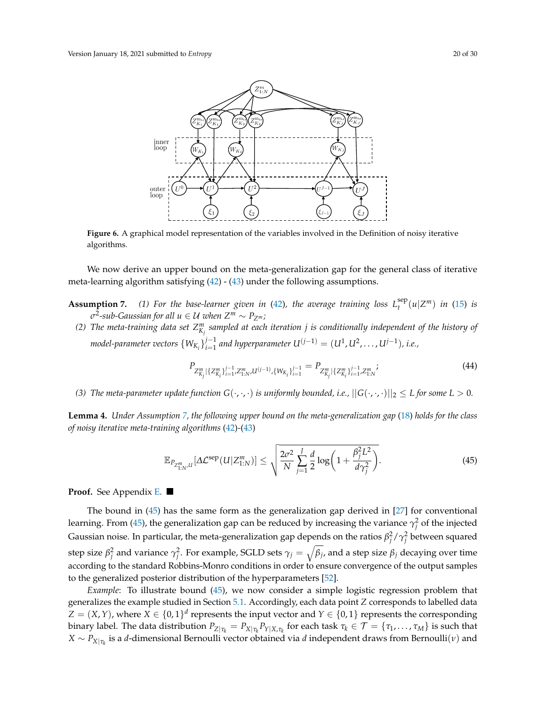<span id="page-19-0"></span>

**Figure 6.** A graphical model representation of the variables involved in the Definition of noisy iterative algorithms.

We now derive an upper bound on the meta-generalization gap for the general class of iterative meta-learning algorithm satisfying [\(42\)](#page-18-1) - [\(43\)](#page-18-2) under the following assumptions.

- **Assumption 7.** (1) For the base-learner given in [\(42\)](#page-18-1), the average training loss  $L_t^{\text{sep}}$  $\int_t^{\text{sep}} (u | Z^m) \text{ in (15) is}$  $\int_t^{\text{sep}} (u | Z^m) \text{ in (15) is}$  $\int_t^{\text{sep}} (u | Z^m) \text{ in (15) is}$ *σ* 2 *-sub-Gaussian for all u* ∈ U *when Z<sup>m</sup>* ∼ *PZ<sup>m</sup> ;*
	- (2) The meta-training data set  $Z^m_{K_j}$  sampled at each iteration  $j$  is conditionally independent of the history of *model-parameter vectors*  $\{W_{K_i}\}_{i=1}^{j-1}$ *i*<sup>−1</sup></sup> and hyperparameter  $U^{(j-1)} = (U^1, U^2, \ldots, U^{j-1})$ , i.e.,

<span id="page-19-3"></span><span id="page-19-1"></span>
$$
P_{Z_{K_j}^m|\{Z_{K_i}^m\}_{i=1}^{j-1},Z_{1:N}^m,U^{(j-1)},\{W_{K_i}\}_{i=1}^{j-1}} = P_{Z_{K_j}^m|\{Z_{K_i}^m\}_{i=1}^{j-1},Z_{1:N}^m};\tag{44}
$$

*(3) The meta-parameter update function*  $G(\cdot, \cdot, \cdot)$  *is uniformly bounded, i.e.,*  $||G(\cdot, \cdot, \cdot)||_2 \le L$  *for some*  $L > 0$ *.* 

<span id="page-19-2"></span>**Lemma 4.** *Under Assumption [7,](#page-0-0) the following upper bound on the meta-generalization gap* [\(18\)](#page-7-0) *holds for the class of noisy iterative meta-training algorithms* [\(42\)](#page-18-1)*-*[\(43\)](#page-18-2)

$$
\mathbb{E}_{P_{Z_{1:N}^m,U}}[\Delta \mathcal{L}^{\text{sep}}(U|Z_{1:N}^m)] \le \sqrt{\frac{2\sigma^2}{N} \sum_{j=1}^J \frac{d}{2} \log\left(1 + \frac{\beta_j^2 L^2}{d\gamma_j^2}\right)}.
$$
\n(45)

**Proof.** See Appendix [E.](#page-26-1)

The bound in [\(45\)](#page-19-1) has the same form as the generalization gap derived in [\[27\]](#page-28-1) for conventional learning. From [\(45\)](#page-19-1), the generalization gap can be reduced by increasing the variance  $\gamma^2_{\vec{j}}$  of the injected Gaussian noise. In particular, the meta-generalization gap depends on the ratios  $\beta_j^2/\gamma_j^2$  between squared step size  $β_j^2$  and variance  $γ_j^2$ . For example, SGLD sets  $γ_j = \sqrt{β_j}$ , and a step size  $β_j$  decaying over time according to the standard Robbins-Monro conditions in order to ensure convergence of the output samples to the generalized posterior distribution of the hyperparameters [\[52\]](#page-29-1).

*Example*: To illustrate bound [\(45\)](#page-19-1), we now consider a simple logistic regression problem that generalizes the example studied in Section [5.1.](#page-15-0) Accordingly, each data point *Z* corresponds to labelled data  $Z = (X, Y)$ , where  $X \in \{0, 1\}^d$  represents the input vector and  $Y \in \{0, 1\}$  represents the corresponding binary label. The data distribution  $P_{Z|\tau_k}=P_{X|\tau_k}P_{Y|X,\tau_k}$  for each task  $\tau_k\in\mathcal{T}=\{\tau_1,\ldots,\tau_M\}$  is such that *X* ∼ *PX*|*τ<sup>k</sup>* is a *d*-dimensional Bernoulli vector obtained via *d* independent draws from Bernoulli(*ν*) and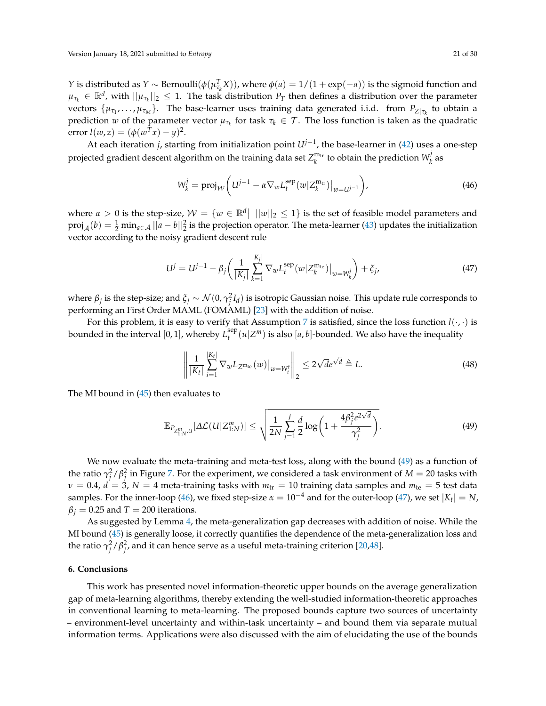*Y* is distributed as *Y* ∼ Bernoulli( $\phi(\mu_{\tau_k}^T X)$ ), where  $\phi(a) = 1/(1 + \exp(-a))$  is the sigmoid function and  $\mu_{\tau_k}\in\mathbb{R}^d$ , with  $||\mu_{\tau_k}||_2\leq 1$ . The task distribution  $P_T$  then defines a distribution over the parameter  $\{ \mu_{\tau_1}, \ldots, \mu_{\tau_M} \}.$  The base-learner uses training data generated i.i.d. from  $P_{Z|\tau_k}$  to obtain a prediction *w* of the parameter vector  $\mu_{\tau_k}$  for task  $\tau_k \in \mathcal{T}$ . The loss function is taken as the quadratic error  $l(w, z) = (\phi(w^T x) - y)^2$ .

At each iteration *j*, starting from initialization point *Uj*−<sup>1</sup> , the base-learner in [\(42\)](#page-18-1) uses a one-step projected gradient descent algorithm on the training data set  $Z_k^{\text{m}_{\text{tr}}}$  to obtain the prediction  $W_k^j$ *k* as

<span id="page-20-1"></span>
$$
W_k^j = \text{proj}_{\mathcal{W}} \left( U^{j-1} - \alpha \nabla_w L_t^{\text{sep}}(w | Z_k^{\text{m}_{\text{tr}}}) \big|_{w = U^{j-1}} \right),\tag{46}
$$

where  $\alpha > 0$  is the step-size,  $\mathcal{W} = \{w \in \mathbb{R}^d | ||w||_2 \leq 1\}$  is the set of feasible model parameters and  $proj_A(b) = \frac{1}{2} \min_{a \in \mathcal{A}} ||a - b||_2^2$  is the projection operator. The meta-learner [\(43\)](#page-18-2) updates the initialization vector according to the noisy gradient descent rule

$$
U^{j} = U^{j-1} - \beta_{j} \left( \frac{1}{|K_{j}|} \sum_{k=1}^{|K_{j}|} \nabla_{w} L_{t}^{\text{sep}}(w | Z_{k}^{\text{m}_{\text{te}}}) \big|_{w = W_{k}^{j}} \right) + \xi_{j}, \tag{47}
$$

where  $\beta_j$  is the step-size; and  $\xi_j \sim \mathcal{N}(0,\gamma_j^2I_d)$  is isotropic Gaussian noise. This update rule corresponds to performing an First Order MAML (FOMAML) [\[23\]](#page-27-18) with the addition of noise.

For this problem, it is easy to verify that Assumption [7](#page-0-0) is satisfied, since the loss function  $l(\cdot,\cdot)$  is bounded in the interval [0, 1], whereby *L* sep  $\int_t^{\text{sep}} (u | Z^m)$  is also  $[a, b]$ -bounded. We also have the inequality

<span id="page-20-2"></span><span id="page-20-0"></span>
$$
\left\| \frac{1}{|K_t|} \sum_{i=1}^{|K_t|} \nabla_w L_{Z^{\mathfrak{m}_{\text{te}}}}(w) \big|_{w = W_t^t} \right\|_2 \le 2\sqrt{d} e^{\sqrt{d}} \triangleq L. \tag{48}
$$

The MI bound in  $(45)$  then evaluates to

$$
\mathbb{E}_{P_{Z_{1:N}^m,U}}[\Delta \mathcal{L}(U|Z_{1:N}^m)] \le \sqrt{\frac{1}{2N} \sum_{j=1}^J \frac{d}{2} \log\left(1 + \frac{4\beta_j^2 e^{2\sqrt{d}}}{\gamma_j^2}\right)}.
$$
(49)

We now evaluate the meta-training and meta-test loss, along with the bound [\(49\)](#page-20-0) as a function of the ratio  $\gamma_j^2/\beta_j^2$  in Figure [7.](#page-21-0) For the experiment, we considered a task environment of  $M=20$  tasks with  $\nu = 0.4$ ,  $d = 3$ ,  $N = 4$  meta-training tasks with  $m_{\text{tr}} = 10$  training data samples and  $m_{\text{te}} = 5$  test data samples. For the inner-loop [\(46\)](#page-20-1), we fixed step-size  $\alpha = 10^{-4}$  and for the outer-loop [\(47\)](#page-20-2), we set  $|K_t| = N$ ,  $\beta$ <sup>*j*</sup> = 0.25 and *T* = 200 iterations.

As suggested by Lemma [4,](#page-19-2) the meta-generalization gap decreases with addition of noise. While the MI bound [\(45\)](#page-19-1) is generally loose, it correctly quantifies the dependence of the meta-generalization loss and the ratio  $\gamma_j^2/\beta_j^2$ , and it can hence serve as a useful meta-training criterion [\[20,](#page-27-15)[48\]](#page-28-19).

# **6. Conclusions**

This work has presented novel information-theoretic upper bounds on the average generalization gap of meta-learning algorithms, thereby extending the well-studied information-theoretic approaches in conventional learning to meta-learning. The proposed bounds capture two sources of uncertainty – environment-level uncertainty and within-task uncertainty – and bound them via separate mutual information terms. Applications were also discussed with the aim of elucidating the use of the bounds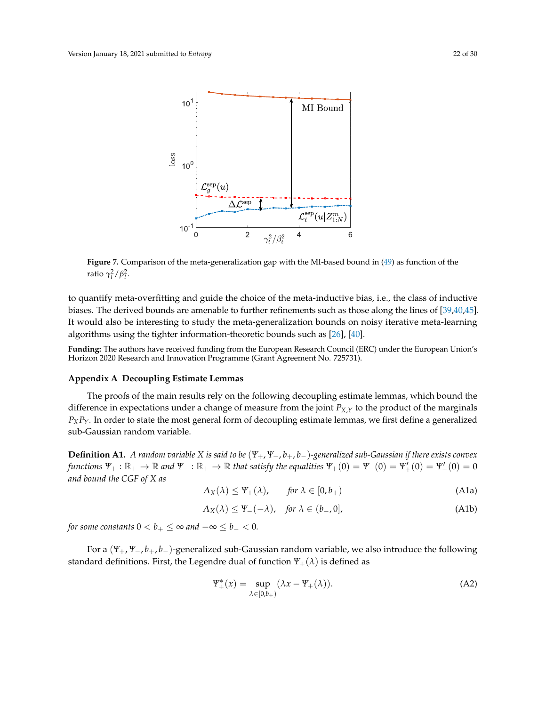<span id="page-21-0"></span>

**Figure 7.** Comparison of the meta-generalization gap with the MI-based bound in [\(49\)](#page-20-0) as function of the ratio  $\gamma_t^2/\beta_t^2$ .

to quantify meta-overfitting and guide the choice of the meta-inductive bias, i.e., the class of inductive biases. The derived bounds are amenable to further refinements such as those along the lines of [\[39,](#page-28-11)[40,](#page-28-12)[45\]](#page-28-16). It would also be interesting to study the meta-generalization bounds on noisy iterative meta-learning algorithms using the tighter information-theoretic bounds such as [\[26\]](#page-28-0), [\[40\]](#page-28-12).

**Funding:** The authors have received funding from the European Research Council (ERC) under the European Union's Horizon 2020 Research and Innovation Programme (Grant Agreement No. 725731).

#### **Appendix A Decoupling Estimate Lemmas**

The proofs of the main results rely on the following decoupling estimate lemmas, which bound the difference in expectations under a change of measure from the joint  $P_{X,Y}$  to the product of the marginals  $P_XP_Y$ . In order to state the most general form of decoupling estimate lemmas, we first define a generalized sub-Gaussian random variable.

**Definition A1.** *A random variable X is said to be* (*Ψ*+, *Ψ*−, *b*+, *b*−)*-generalized sub-Gaussian if there exists convex functions*  $\Psi_+ : \mathbb{R}_+ \to \mathbb{R}$  and  $\Psi_- : \mathbb{R}_+ \to \mathbb{R}$  that satisfy the equalities  $\Psi_+(0) = \Psi_-'(0) = \Psi_+'(0) = \Psi_-'(0) = 0$ *and bound the CGF of X as*

$$
\Lambda_X(\lambda) \le \Psi_+(\lambda), \qquad \text{for } \lambda \in [0, b_+) \tag{A1a}
$$

$$
\Lambda_X(\lambda) \le \Psi_-(-\lambda), \quad \text{for } \lambda \in (b_-, 0], \tag{A1b}
$$

*for some constants*  $0 < b_+ \le \infty$  *and*  $-\infty \le b_- < 0$ *.* 

For a (*Ψ*+, *Ψ*−, *b*+, *b*−)-generalized sub-Gaussian random variable, we also introduce the following standard definitions. First, the Legendre dual of function  $\Psi_+(\lambda)$  is defined as

$$
\mathbb{Y}_{+}^{*}(x) = \sup_{\lambda \in [0,b_{+})} (\lambda x - \Psi_{+}(\lambda)). \tag{A2}
$$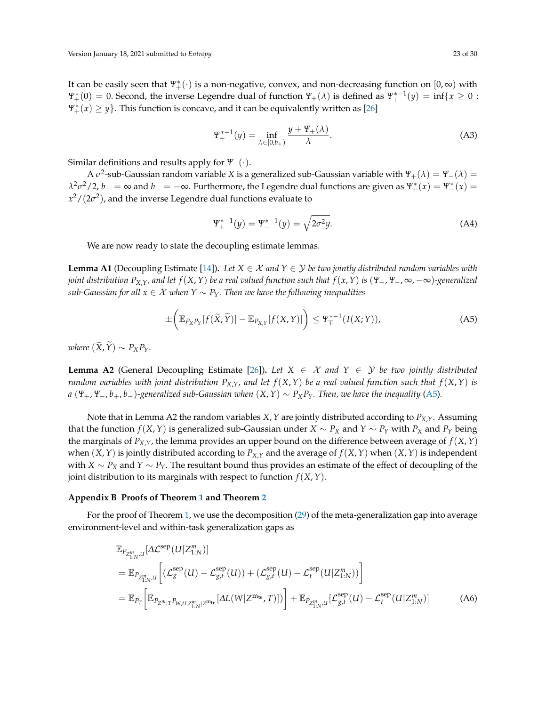It can be easily seen that *Ψ*<sup>∗</sup> <sup>+</sup>(·) is a non-negative, convex, and non-decreasing function on [0, ∞) with  $\Psi^*_+(0) = 0$ . Second, the inverse Legendre dual of function  $\Psi^+_+(\lambda)$  is defined as  $\Psi^{*-1}_+(y) = \inf\{x \geq 0 :$  $\Psi^*_+(x) \geq y$ . This function is concave, and it can be equivalently written as [\[26\]](#page-28-0)

$$
\Psi_{+}^{*-1}(y) = \inf_{\lambda \in [0,b_{+})} \frac{y + \Psi_{+}(\lambda)}{\lambda}.
$$
 (A3)

Similar definitions and results apply for *Ψ*−(·).

A  $\sigma^2$ -sub-Gaussian random variable *X* is a generalized sub-Gaussian variable with  $\Psi_+(\lambda)=\Psi_-(\lambda)=0$  $λ<sup>2</sup>σ<sup>2</sup>/2$ ,  $b<sub>+</sub> = ∞$  and  $b<sub>-</sub> = −∞$ . Furthermore, the Legendre dual functions are given as  $\Psi^*_+(x) = \Psi^*_-(x) =$  $x^2/(2\sigma^2)$ , and the inverse Legendre dual functions evaluate to

<span id="page-22-4"></span><span id="page-22-2"></span>
$$
\Psi_{+}^{*-1}(y) = \Psi_{-}^{*-1}(y) = \sqrt{2\sigma^2 y}.
$$
 (A4)

We are now ready to state the decoupling estimate lemmas.

<span id="page-22-0"></span>**Lemma A1** (Decoupling Estimate [\[14\]](#page-27-9)). Let  $X \in \mathcal{X}$  and  $Y \in \mathcal{Y}$  be two jointly distributed random variables with joint distribution  $P_{X,Y}$ , and let  $f(X,Y)$  be a real valued function such that  $f(x,Y)$  is  $(\Psi_+, \Psi_-, \infty, -\infty)$ -generalized *sub-Gaussian for all*  $x \in \mathcal{X}$  *when*  $Y \sim P_Y$ *. Then we have the following inequalities* 

$$
\pm \left( \mathbb{E}_{P_X P_Y} [f(\widetilde{X}, \widetilde{Y})] - \mathbb{E}_{P_{X,Y}} [f(X, Y)] \right) \leq \Psi_{\mp}^{*-1}(I(X; Y)), \tag{A5}
$$

*where*  $(\widetilde{X}, \widetilde{Y}) \sim P_X P_Y$ *.* 

<span id="page-22-5"></span>**Lemma A2** (General Decoupling Estimate [\[26\]](#page-28-0)). Let  $X \in \mathcal{X}$  and  $Y \in \mathcal{Y}$  be two jointly distributed *random variables with joint distribution*  $P_{X,Y}$ *, and let*  $f(X,Y)$  *be a real valued function such that*  $f(X,Y)$  *is a* (*Ψ*+, *Ψ*−, *b*+, *b*−)*-generalized sub-Gaussian when* (*X*,*Y*) ∼ *PXPY. Then, we have the inequality* [\(A5\)](#page-22-2)*.*

Note that in Lemma A2 the random variables *X*,*Y* are jointly distributed according to *PX*,*Y*. Assuming that the function *f*(*X*, *Y*) is generalized sub-Gaussian under *X* ∼ *P<sub>X</sub>* and *Y* ∼ *P<sub>Y</sub>* with *P<sub>X</sub>* and *P<sub>Y</sub>* being the marginals of  $P_{X,Y}$ , the lemma provides an upper bound on the difference between average of  $f(X,Y)$ when  $(X, Y)$  is jointly distributed according to  $P_{X,Y}$  and the average of  $f(X, Y)$  when  $(X, Y)$  is independent with *X* ∼ *P<sup>X</sup>* and *Y* ∼ *PY*. The resultant bound thus provides an estimate of the effect of decoupling of the joint distribution to its marginals with respect to function *f*(*X*,*Y*).

#### <span id="page-22-1"></span>**Appendix B Proofs of Theorem [1](#page-11-0) and Theorem [2](#page-12-0)**

For the proof of Theorem [1,](#page-11-0) we use the decomposition [\(29\)](#page-11-2) of the meta-generalization gap into average environment-level and within-task generalization gaps as

<span id="page-22-3"></span>
$$
\mathbb{E}_{P_{Z_{1:N'}^{m}U}}[\Delta \mathcal{L}^{\text{sep}}(U|Z_{1:N}^{m})]
$$
\n
$$
= \mathbb{E}_{P_{Z_{1:N'}^{m}U}}\bigg[ (\mathcal{L}_{g}^{\text{sep}}(U) - \mathcal{L}_{g,t}^{\text{sep}}(U)) + (\mathcal{L}_{g,t}^{\text{sep}}(U) - \mathcal{L}_{t}^{\text{sep}}(U|Z_{1:N}^{m})) \bigg]
$$
\n
$$
= \mathbb{E}_{P_{T}}\bigg[ \mathbb{E}_{P_{Z_{1:T}}^{m}|T_{W,U,Z_{1:N}^{m}|Z^{m_{\text{tr}}}}}[ \Delta L(W|Z^{m_{\text{te}}},T)]) \bigg] + \mathbb{E}_{P_{Z_{1:N'}^{m}U}}[\mathcal{L}_{g,t}^{\text{sep}}(U) - \mathcal{L}_{t}^{\text{sep}}(U|Z_{1:N}^{m})] \tag{A6}
$$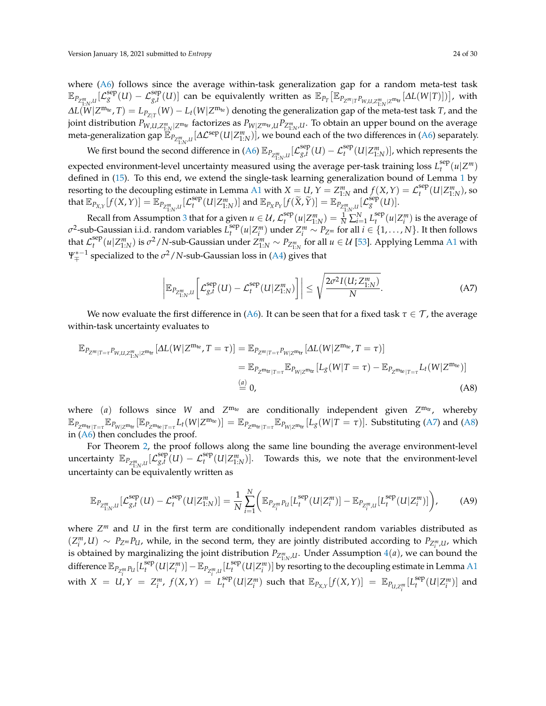where  $(A6)$  follows since the average within-task generalization gap for a random meta-test task  $\mathbb{E}_{P_{Z_{1:N},U}^m}[\mathcal{L}_g^{\text{sep}}(U)-\mathcal{L}_{g,t}^{\text{sep}}(U)]$  can be equivalently written as  $\mathbb{E}_{P_T}\big[\mathbb{E}_{P_{Z^m|T}P_{W,U,Z_{1:N}^m|Z^m\text{tr}}}[\Delta L(W|T)])\big]$ , with  $\Delta L(W|Z^{m_{te}},T) = L_{P_{Z|T}}(W) - L_t(W|Z^{m_{te}})$  denoting the generalization gap of the meta-test task T, and the joint distribution  $P_{W,U,Z_{1:N}^m|Z^{m_{\text{tr}}}}$  factorizes as  $P_{W|Z^{m_{\text{tr}}},U}P_{Z_{1:N}^m,U}$ . To obtain an upper bound on the average meta-generalization gap  $\mathbb{E}_{P_{Z_{1:N}^m,U}}[\Delta \mathcal{L}^{\text{sep}}(U|Z_{1:N}^m)]$ , we bound each of the two differences in [\(A6\)](#page-22-3) separately.

We first bound the second difference in [\(A6\)](#page-22-3)  $\mathbb{E}_{P_{\mathbb{Z}_{1:N}^m,U}}[\mathcal{L}_{g,t}^{\text{sep}}]$  $\int_{g,t}^{\rm sep} (U) - {\cal L}_t^{\rm sep} (U | Z^m_{1:N}) ]$ , which represents the expected environment-level uncertainty measured using the average per-task training loss  $L_t^{\text{sep}}$  $t_t^{\text{sep}}(u|Z^m)$ defined in [\(15\)](#page-7-5). To this end, we extend the single-task learning generalization bound of Lemma [1](#page-9-1) by resorting to the decoupling estimate in Lemma [A1](#page-22-0) with  $X = U$ ,  $Y = Z_{1:N}^m$  and  $f(X, Y) = \mathcal{L}_t^{\text{sep}}$  $t^{sep}_t(U|Z^m_{1:N})$ , so  $\text{that } \mathbb{E}_{P_{X,Y}}[f(X,Y)] = \mathbb{E}_{P_{Z_{1:N'}^m}I}[\mathcal{L}^{\text{sep}}_t]$  $\mathbb{E}_{P_X P_Y}[U|Z_{1:N}^m]$  and  $\mathbb{E}_{P_X P_Y}[f(\widetilde{X}, \widetilde{Y})] = \mathbb{E}_{P_{Z_{1:N}^m,U}}^{\text{max}}[L_g^{\text{sep}}(U)].$ 

Recall from Assumption [3](#page-10-5) that for a given  $u \in \mathcal{U}$ ,  $\mathcal{L}_{t}^{\text{sep}}(u | Z_{1:N}^{m}) = \frac{1}{N} \sum_{i=1}^{N}$  $\sum_{t}^{sep}(u|Z^{m}_{1:N}) = \frac{1}{N}\sum_{i=1}^{N}L^{sep}_{t}$  $\int_t^{\text{sep}} (u | Z_i^m)$  is the average of *σ* 2 -sub-Gaussian i.i.d. random variables *L* sep  $\sum_{i}^{sep}(u|Z_{i}^{m})$  under  $Z_{i}^{m} \sim P_{Z^{m}}$  for all  $i \in \{1, ..., N\}$ . It then follows that  $\mathcal{L}^{\text{sep}}_t$  $\frac{f^{sep}}{f}(u|Z^m_{1:N})$  is *σ*<sup>2</sup>/*N*-sub-Gaussian under  $Z^m_{1:N} \sim P_{Z^m_{1:N}}$  for all  $u \in U$  [\[53\]](#page-29-2). Applying Lemma [A1](#page-22-0) with *Ψ* ∗−1 <sup>∓</sup> specialized to the *σ* <sup>2</sup>/*N*-sub-Gaussian loss in [\(A4\)](#page-22-4) gives that

<span id="page-23-2"></span><span id="page-23-1"></span><span id="page-23-0"></span>
$$
\left| \mathbb{E}_{P_{Z_{1:N}^m,U}} \left[ \mathcal{L}_{g,t}^{\text{sep}}(U) - \mathcal{L}_t^{\text{sep}}(U|Z_{1:N}^m) \right] \right| \leq \sqrt{\frac{2\sigma^2 I(U;Z_{1:N}^m)}{N}}.
$$
\n(A7)

We now evaluate the first difference in [\(A6\)](#page-22-3). It can be seen that for a fixed task  $\tau \in \mathcal{T}$ , the average within-task uncertainty evaluates to

$$
\mathbb{E}_{P_{Z^m|T=\tau}P_{W,U,Z_{1:N}^m|Z^{m_{\text{tr}}}}}\left[\Delta L(W|Z^{m_{\text{te}}},T=\tau)\right] = \mathbb{E}_{P_{Z^m|T=\tau}P_{W|Z^{m_{\text{tr}}}}}\left[\Delta L(W|Z^{m_{\text{te}}},T=\tau)\right]
$$
\n
$$
= \mathbb{E}_{P_{Z^{m_{\text{tr}}|T=\tau}}}\mathbb{E}_{P_{W|Z^{m_{\text{tr}}}}}\left[L_g(W|T=\tau) - \mathbb{E}_{P_{Z^{m_{\text{te}}|T=\tau}}L_t(W|Z^{m_{\text{te}}})\right]
$$
\n
$$
\stackrel{(a)}{=} 0,
$$
\n(A8)

where (*a*) follows since *W* and  $Z^{m_{te}}$  are conditionally independent given  $Z^{m_{tr}}$ , whereby  $\mathbb{E}_{P_{Z^{\mathfrak{m}_{\text{tr}}}|T=\tau}}\mathbb{E}_{P_{W|Z^{\mathfrak{m}_{\text{tr}}}}}[\mathbb{E}_{P_{Z^{\mathfrak{m}_{\text{te}}}|T=\tau}}L_t(W|Z^{\mathfrak{m}_{\text{te}}})]=\mathbb{E}_{P_{Z^{\mathfrak{m}_{\text{tr}}}|T=\tau}}\mathbb{E}_{P_{W|Z^{\mathfrak{m}_{\text{tr}}}}}[L_g(W|T=\tau)].$  Substituting [\(A7\)](#page-23-0) and [\(A8\)](#page-23-1) in [\(A6\)](#page-22-3) then concludes the proof.

For Theorem [2,](#page-12-0) the proof follows along the same line bounding the average environment-level uncertainty  $\mathbb{E}_{P_{Z_{\text{1:N}}^m,U}}[\mathcal{L}^{\text{sep}}_{g,t}]$  $g_{t}^{sep}(U) - \mathcal{L}_{t}^{sep}(U|Z_{1:N}^{m})$ . Towards this, we note that the environment-level uncertainty can be equivalently written as

$$
\mathbb{E}_{P_{Z_{1:N}^m,U}}[\mathcal{L}_{g,t}^{\text{sep}}(U) - \mathcal{L}_t^{\text{sep}}(U|Z_{1:N}^m)] = \frac{1}{N} \sum_{i=1}^N \bigg( \mathbb{E}_{P_{Z_i^m}P_U}[L_t^{\text{sep}}(U|Z_i^m)] - \mathbb{E}_{P_{Z_i^m,U}}[L_t^{\text{sep}}(U|Z_i^m)] \bigg),\tag{A9}
$$

where *Z <sup>m</sup>* and *U* in the first term are conditionally independent random variables distributed as  $(Z_i^m, U) \sim P_{Z^m} P_U$ , while, in the second term, they are jointly distributed according to  $P_{Z_i^m, U}$ , which is obtained by marginalizing the joint distribution  $P_{Z_{1:N}^m,U}$ . Under Assumption [4](#page-12-1)(*a*), we can bound the difference  $\mathbb{E}_{P_{Z_{\cdot}^{m}}}{}_{P_{U}}[L^{\text{sep}}_{t}]$ with  $X = U, Y = Z_i^m, f(X, Y) = L_i^{sep}$  $\mathbb{E}^{\text{sep}}_{t}(U|Z^m_i)] - \mathbb{E}_{P_{Z^m_i,U}}[L^{\text{sep}}_t]$  $\int_t^{\text{sep}} (U|Z^m_i)]$  by resorting to the decoupling estimate in Lemma [A1](#page-22-0)  $\mathbb{E}_{P_{X,Y}}[f(X,Y)] = \mathbb{E}_{P_{U,Z_i^m}}[L_t^{\text{sep}}]$  $\int_t^{\text{sep}} (U | Z^m_i)]$  and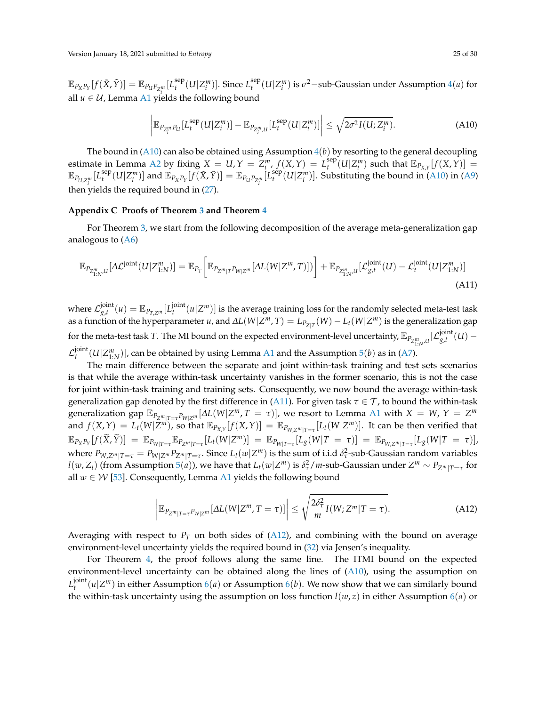$\mathbb{E}_{P_X P_Y}[f(\tilde{X}, \tilde{Y})] = \mathbb{E}_{P_U P_{Z_i^m}}[L_t^{\text{sep}}]$ all *u* ∈ *U*, Lemma [A1](#page-22-0) yields the following bound  $L_t^{\text{sep}}(U|Z_i^m)]$ . Since  $L_t^{\text{sep}}$  $t_t^{\text{sep}}(U|Z_i^m)$  is  $\sigma^2$ −sub-Gaussian under Assumption [4](#page-12-1)(*a*) for

<span id="page-24-2"></span><span id="page-24-1"></span>
$$
\left| \mathbb{E}_{P_{Z_i^m}P_U} [L_t^{\text{sep}}(U|Z_i^m)] - \mathbb{E}_{P_{Z_i^m,U}} [L_t^{\text{sep}}(U|Z_i^m)] \right| \le \sqrt{2\sigma^2 I(U;Z_i^m)}.
$$
 (A10)

The bound in  $(A10)$  can also be obtained using Assumption  $4(b)$  $4(b)$  by resorting to the general decoupling estimate in Lemma [A2](#page-22-5) by fixing  $X = U, Y = Z_i^m, f(X, Y) = L_i^{\text{sep}}$  $\sum_{t}^{sep}(U|Z_{i}^{m})$  such that  $\mathbb{E}_{P_{X,Y}}[f(X,Y)] =$  $\mathbb{E}_{P_{U,Z_i^m}}[L_t^{\rm sep}]$ then yields the required bound in  $(27)$ .  $\mathbb{E}_{P_X P_Y}[f(\tilde{X}, \tilde{Y})] = \mathbb{E}_{P_U P_{Z_i^m}}[L_t^{\text{sep}}]$  $\int_t^{\text{sep}} (U|Z^m_i)]$ . Substituting the bound in [\(A10\)](#page-24-1) in [\(A9\)](#page-23-2)

# <span id="page-24-0"></span>**Appendix C Proofs of Theorem [3](#page-13-0) and Theorem [4](#page-14-0)**

For Theorem [3,](#page-13-0) we start from the following decomposition of the average meta-generalization gap analogous to [\(A6\)](#page-22-3)

$$
\mathbb{E}_{P_{Z_{1:N}^m,U}}[\Delta \mathcal{L}^{\text{joint}}(U|Z_{1:N}^m)] = \mathbb{E}_{P_T}\bigg[\mathbb{E}_{P_{Z^m|T}P_{W|Z^m}}[\Delta L(W|Z^m,T)])\bigg] + \mathbb{E}_{P_{Z_{1:N}^m,U}}[\mathcal{L}_{g,t}^{\text{joint}}(U) - \mathcal{L}_t^{\text{joint}}(U|Z_{1:N}^m)]\tag{A11}
$$

where  $\mathcal{L}^\text{joint}_{\mathfrak{g},t}$  $\frac{\partial \text{g}_{,t}}{\partial \text{g}_{,t}}(u) = \mathbb{E}_{P_{T,Z^m}}[L_t^{\text{joint}}]$  $\mathcal{U}_t^{\text{onrt}}(u|Z^m)$ ] is the average training loss for the randomly selected meta-test task  $a$ s a function of the hyperparameter *u*, and  $\Delta L(W|Z^m, T) = L_{P_{Z|T}}(W) - L_t(W|Z^m)$  is the generalization gap for the meta-test task *T*. The MI bound on the expected environment-level uncertainty,  $\mathbb{E}_{P_{Z_{1:N'}^mU}}[\mathcal{L}_{g,t}^{\text{joint}}]$  $g_{,t}^{\text{joint}}(U)$  –  $\mathcal{L}_{t}^{\mathsf{joint}}$  $\mathcal{H}_t^{\text{onrt}}(U|Z^m_{1:N})$ , can be obtained by using Lemma [A1](#page-22-0) and the Assumption [5](#page-13-2)(*b*) as in [\(A7\)](#page-23-0).

The main difference between the separate and joint within-task training and test sets scenarios is that while the average within-task uncertainty vanishes in the former scenario, this is not the case for joint within-task training and training sets. Consequently, we now bound the average within-task generalization gap denoted by the first difference in [\(A11\)](#page-24-2). For given task  $\tau \in \mathcal{T}$ , to bound the within-task generalization gap  $\mathbb{E}_{P_{Z^m|T=\tau}P_{W|Z^m}}[\Delta L(W|Z^m,T=\tau)]$ , we resort to Lemma [A1](#page-22-0) with  $X = W$ ,  $Y = Z^m$ and  $f(X,Y) = L_t(W|\overline{Z}^m)$ , so that  $\mathbb{E}_{P_{X,Y}}[f(X,Y)] = \mathbb{E}_{P_{W,Z^m|T=\tau}}[L_t(W|Z^m)]$ . It can be then verified that  $\mathbb{E}_{P_X P_Y}[f(\widetilde{X}, \widetilde{Y})] = \mathbb{E}_{P_{W|T=\tau}} \mathbb{E}_{P_{Z^m|T=\tau}}[L_t(W|Z^m)] = \mathbb{E}_{P_{W|T=\tau}}[L_g(W|T=\tau)] = \mathbb{E}_{P_{W,Z^m|T=\tau}}[L_g(W|T=\tau)],$ where  $P_{W,Z^m|T=\tau}=P_{W|Z^m}P_{Z^m|T=\tau}.$  Since  $L_t(w|Z^m)$  is the sum of i.i.d  $\delta^2_\tau$ -sub-Gaussian random variables  $l(w,Z_i)$  (from Assumption [5](#page-13-2)(a)), we have that  $L_t(w|Z^m)$  is  $\delta^2_\tau/m$ -sub-Gaussian under  $Z^m\sim P_{Z^m|T=\tau}$  for all  $w \in W$  [\[53\]](#page-29-2). Consequently, Lemma [A1](#page-22-0) yields the following bound

<span id="page-24-3"></span>
$$
\left| \mathbb{E}_{P_{Z^m|T=\tau}P_{W|Z^m}}[\Delta L(W|Z^m, T=\tau)] \right| \leq \sqrt{\frac{2\delta_{\tau}^2}{m}} I(W; Z^m|T=\tau). \tag{A12}
$$

Averaging with respect to  $P_T$  on both sides of [\(A12\)](#page-24-3), and combining with the bound on average environment-level uncertainty yields the required bound in [\(32\)](#page-13-3) via Jensen's inequality.

For Theorem [4,](#page-14-0) the proof follows along the same line. The ITMI bound on the expected environment-level uncertainty can be obtained along the lines of [\(A10\)](#page-24-1), using the assumption on *L* joint  $t_t^{\text{joint}}(u|Z^m)$  in either Assumption [6](#page-13-4)(*a*) or Assumption 6(*b*). We now show that we can similarly bound the within-task uncertainty using the assumption on loss function  $l(w, z)$  in either Assumption  $\theta(a)$  or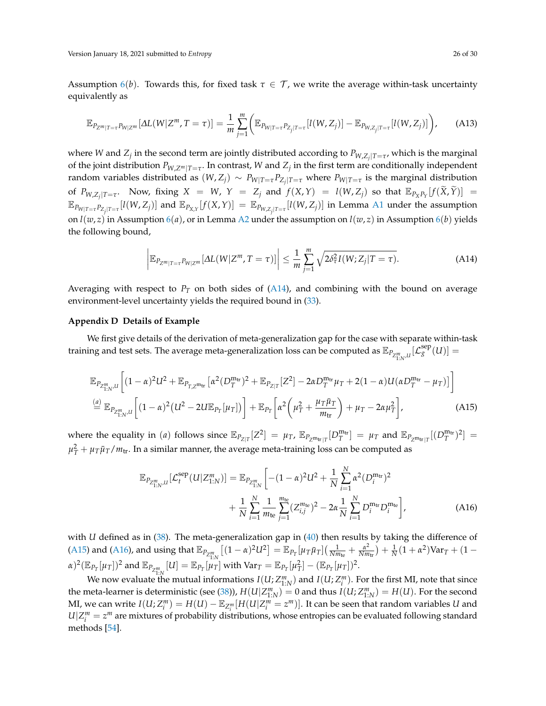Assumption  $6(b)$  $6(b)$ . Towards this, for fixed task  $\tau \in \mathcal{T}$ , we write the average within-task uncertainty equivalently as

$$
\mathbb{E}_{P_{Z^m|T=\tau}P_{W|Z^m}}[\Delta L(W|Z^m,T=\tau)] = \frac{1}{m} \sum_{j=1}^m \Big( \mathbb{E}_{P_{W|T=\tau}P_{Z_j|T=\tau}}[l(W,Z_j)] - \mathbb{E}_{P_{W,Z_j|T=\tau}}[l(W,Z_j)] \Big), \quad (A13)
$$

where *W* and  $Z_j$  in the second term are jointly distributed according to  $P_{W,Z_j|T=\tau}$ , which is the marginal of the joint distribution  $P_{W,Z^m|T=\tau}.$  In contrast,  $W$  and  $Z_j$  in the first term are conditionally independent random variables distributed as  $(W,Z_j)\sim P_{W|T=\tau}P_{Z_j|T=\tau}$  where  $P_{W|T=\tau}$  is the marginal distribution of  $P_{W,Z_j|T=\tau}$ . Now, fixing  $X = W$ ,  $Y = Z_j$  and  $f(X,Y) = l(W,Z_j)$  so that  $\mathbb{E}_{P_XP_Y}[f(\tilde{X}, \tilde{Y})] =$  $\mathbb{E}_{P_{W|T=\tau}P_{Z_j|T=\tau}}[l(W,Z_j)]$  and  $\mathbb{E}_{P_{X,Y}}[f(X,Y)] = \mathbb{E}_{P_{W,Z_j|T=\tau}}[l(W,Z_j)]$  in Lemma [A1](#page-22-0) under the assumption on  $l(w, z)$  in Assumption [6](#page-13-4)(*a*), or in Lemma [A2](#page-22-5) under the assumption on  $l(w, z)$  in Assumption 6(*b*) yields the following bound,

<span id="page-25-2"></span>
$$
\left| \mathbb{E}_{P_{Z^m|T=\tau}P_{W|Z^m}}[\Delta L(W|Z^m,T=\tau)] \right| \leq \frac{1}{m} \sum_{j=1}^m \sqrt{2\delta_\tau^2 I(W;Z_j|T=\tau)}.
$$
\n(A14)

Averaging with respect to  $P_T$  on both sides of  $(A14)$ , and combining with the bound on average environment-level uncertainty yields the required bound in [\(33\)](#page-14-1).

#### <span id="page-25-0"></span>**Appendix D Details of Example**

We first give details of the derivation of meta-generalization gap for the case with separate within-task training and test sets. The average meta-generalization loss can be computed as  $\mathbb{E}_{P_{Z_{1:N}^m,U}}[\mathcal{L}_g^{\text{sep}}(U)]=$ 

$$
\mathbb{E}_{P_{Z_{1:N}^m,U}}\left[ (1-\alpha)^2 U^2 + \mathbb{E}_{P_{T,Z^m\text{tr}}} \left[ \alpha^2 (D_T^{m_{\text{tr}}})^2 + \mathbb{E}_{P_{Z|T}} [Z^2] - 2\alpha D_T^{m_{\text{tr}}} \mu_T + 2(1-\alpha)U(\alpha D_T^{m_{\text{tr}}} - \mu_T) \right] \right]
$$
\n
$$
\stackrel{(a)}{=} \mathbb{E}_{P_{Z_{1:N}^m,U}} \left[ (1-\alpha)^2 (U^2 - 2U \mathbb{E}_{P_T}[\mu_T]) \right] + \mathbb{E}_{P_T} \left[ \alpha^2 \left( \mu_T^2 + \frac{\mu_T \bar{\mu}_T}{m_{\text{tr}}} \right) + \mu_T - 2\alpha \mu_T^2 \right],
$$
\n(A15)

where the equality in (*a*) follows since  $\mathbb{E}_{P_{Z|T}}[Z^2] = \mu_T$ ,  $\mathbb{E}_{P_{Z^m \text{tr}}[T} [D_T^{m_{\text{tr}}}] = \mu_T$  and  $\mathbb{E}_{P_{Z^m \text{tr}}[T} [(D_T^{m_{\text{tr}}})^2] =$  $\mu_T^2 + \mu_T\bar{\mu}_T/m_\text{tr}$ . In a similar manner, the average meta-training loss can be computed as

<span id="page-25-3"></span><span id="page-25-1"></span>
$$
\mathbb{E}_{P_{Z_{1:N}^m,U}}[\mathcal{L}_t^{\text{sep}}(U|Z_{1:N}^m)] = \mathbb{E}_{P_{Z_{1:N}^m}}\left[-(1-\alpha)^2 U^2 + \frac{1}{N} \sum_{i=1}^N \alpha^2 (D_i^{m_{\text{tr}}})^2 + \frac{1}{N} \sum_{i=1}^N \frac{1}{m_{\text{te}}} \sum_{j=1}^{m_{\text{te}}} (Z_{i,j}^{m_{\text{te}}})^2 - 2\alpha \frac{1}{N} \sum_{i=1}^N D_i^{m_{\text{tr}}} D_i^{m_{\text{te}}}\right],
$$
\n(A16)

with *U* defined as in [\(38\)](#page-16-2). The meta-generalization gap in [\(40\)](#page-16-3) then results by taking the difference of [\(A15\)](#page-25-3) and [\(A16\)](#page-25-1), and using that  $\mathbb{E}_{P_{Z_{1:N}^m}}[(1-\alpha)^2U^2] = \mathbb{E}_{P_T}[\mu_T\bar{\mu}_T](\frac{1}{Nm_{\text{te}}} + \frac{\alpha^2}{Nm_{\text{te}}})$  $\frac{\alpha^2}{Nm_{\text{tr}}}\big) + \frac{1}{N}(1 + \alpha^2) \text{Var}_T + (1 (\alpha)^2(\mathbb{E}_{P_T}[\mu_T])^2$  and  $\mathbb{E}_{P_{Z_{1:N}^m}}[U] = \mathbb{E}_{P_T}[\mu_T]$  with  $\text{Var}_T = \mathbb{E}_{P_T}[\mu_T^2] - (\mathbb{E}_{P_T}[\mu_T])^2$ .

We now evaluate the mutual informations  $I(U; Z^m_{1:N})$  and  $I(U; Z^m_i)$ . For the first MI, note that since the meta-learner is deterministic (see [\(38\)](#page-16-2)),  $H(U|Z^m_{1:N}) = 0$  and thus  $I(U;Z^m_{1:N}) = H(U)$ . For the second MI, we can write  $I(U;Z_i^m)=H(U)-\mathbb{E}_{Z_i^m}[H(U|Z_i^m=z^m)]$ . It can be seen that random variables U and  $U|Z_i^m = z^m$  are mixtures of probability distributions, whose entropies can be evaluated following standard methods [\[54\]](#page-29-3).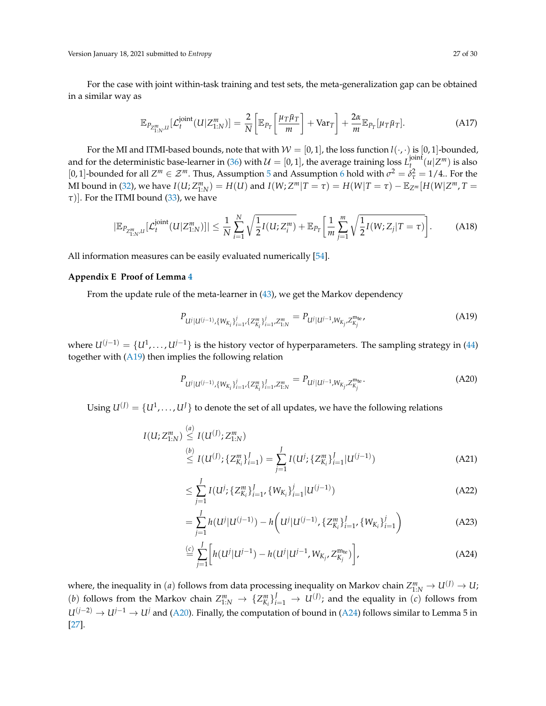Version January 18, 2021 submitted to *Entropy* 27 of 30

For the case with joint within-task training and test sets, the meta-generalization gap can be obtained in a similar way as

$$
\mathbb{E}_{P_{Z_{1:N}^m,U}}[\mathcal{L}_t^{\text{joint}}(U|Z_{1:N}^m)] = \frac{2}{N} \left[ \mathbb{E}_{P_T} \left[ \frac{\mu_T \bar{\mu}_T}{m} \right] + \text{Var}_T \right] + \frac{2\alpha}{m} \mathbb{E}_{P_T}[\mu_T \bar{\mu}_T]. \tag{A17}
$$

For the MI and ITMI-based bounds, note that with  $W = [0, 1]$ , the loss function  $l(\cdot, \cdot)$  is  $[0, 1]$ -bounded, and for the deterministic base-learner in [\(36\)](#page-16-0) with  $\mathcal{U} = [0,1]$ , the average training loss  $L_t^{\text{joint}}$  $\int_{t_1}^{\text{joint}} (u | Z^m)$  is also [0, 1]-bounded for all  $Z^m \in \mathcal{Z}^m$ . Thus, Assumption [5](#page-13-2) and Assumption [6](#page-13-4) hold with  $\sigma^2 = \delta_\tau^2 = 1/4$ .. For the MI bound in [\(32\)](#page-13-3), we have  $I(U;Z^m_{1:N}) = H(U)$  and  $I(W;Z^m|T=\tau) = H(W|T=\tau) - \mathbb{E}_{Z^m}[H(W|Z^m,T=\tau)]$ *τ*)]. For the ITMI bound [\(33\)](#page-14-1), we have

$$
|\mathbb{E}_{P_{Z_{1:N}^m,U}}[\mathcal{L}_t^{\text{joint}}(U|Z_{1:N}^m)]| \leq \frac{1}{N} \sum_{i=1}^N \sqrt{\frac{1}{2}I(U;Z_i^m)} + \mathbb{E}_{P_T} \left[ \frac{1}{m} \sum_{j=1}^m \sqrt{\frac{1}{2}I(W;Z_j|T=\tau)} \right].
$$
 (A18)

All information measures can be easily evaluated numerically [\[54\]](#page-29-3).

# <span id="page-26-1"></span>**Appendix E Proof of Lemma [4](#page-19-2)**

From the update rule of the meta-learner in [\(43\)](#page-18-2), we get the Markov dependency

<span id="page-26-2"></span><span id="page-26-0"></span>
$$
P_{U^j|U^{(j-1)},\{W_{K_i}\}_{i=1}^j,\{Z_{K_i}^m\}_{i=1}^j,Z_{1:N}^m}=P_{U^j|U^{j-1},W_{K_j},Z_{K_j}^{m_{\text{te}}}},\tag{A19}
$$

where *U*(*j*−1) = {*U*<sup>1</sup> , . . . , *Uj*−1} is the history vector of hyperparameters. The sampling strategy in [\(44\)](#page-19-3) together with [\(A19\)](#page-26-2) then implies the following relation

<span id="page-26-3"></span>
$$
P_{U^j|U^{(j-1)},\{W_{K_i}\}_{i=1}^j,\{Z_{K_i}^m\}_{i=1}^J,Z_{1:N}^m}=P_{U^j|U^{j-1},W_{K_j},Z_{K_j}^{m_{\text{te}}}}.
$$
\n(A20)

Using  $U^{(J)} = \{U^1, \ldots, U^J\}$  to denote the set of all updates, we have the following relations

$$
I(U; Z_{1:N}^m) \stackrel{(a)}{\leq} I(U^{(J)}; Z_{1:N}^m)
$$
\n
$$
\stackrel{(b)}{\leq} I(U^{(J)}; \{Z_{K_i}^m\}_{i=1}^J) = \sum_{j=1}^J I(U^j; \{Z_{K_i}^m\}_{i=1}^J | U^{(j-1)})
$$
\n(A21)

$$
\leq \sum_{j=1}^{J} I(U^j; \{Z_{K_i}^m\}_{i=1}^J, \{W_{K_i}\}_{i=1}^j | U^{(j-1)})
$$
\n(A22)

$$
= \sum_{j=1}^{J} h(U^j|U^{(j-1)}) - h\bigg(U^j|U^{(j-1)}, \{Z_{K_i}^m\}_{i=1}^J, \{W_{K_i}\}_{i=1}^j\bigg)
$$
(A23)

<span id="page-26-4"></span>
$$
\stackrel{(c)}{=} \sum_{j=1}^{J} \left[ h(U^j | U^{j-1}) - h(U^j | U^{j-1}, W_{K_j}, Z_{K_j}^{\mathbf{m}_{\text{te}}}) \right],
$$
\n(A24)

where, the inequality in (*a*) follows from data processing inequality on Markov chain  $Z_{1:N}^m \to U^{(J)} \to U$ ; (*b*) follows from the Markov chain  $Z_{1:N}^m \to \{Z_{K_i}^m\}_{i=1}^J \to U^{(J)}$ ; and the equality in (*c*) follows from *U*(*j*−2) → *U*<sup>*j*−1</sup> → *U<sup>j</sup>* and [\(A20\)](#page-26-3). Finally, the computation of bound in [\(A24\)](#page-26-4) follows similar to Lemma 5 in [\[27\]](#page-28-1).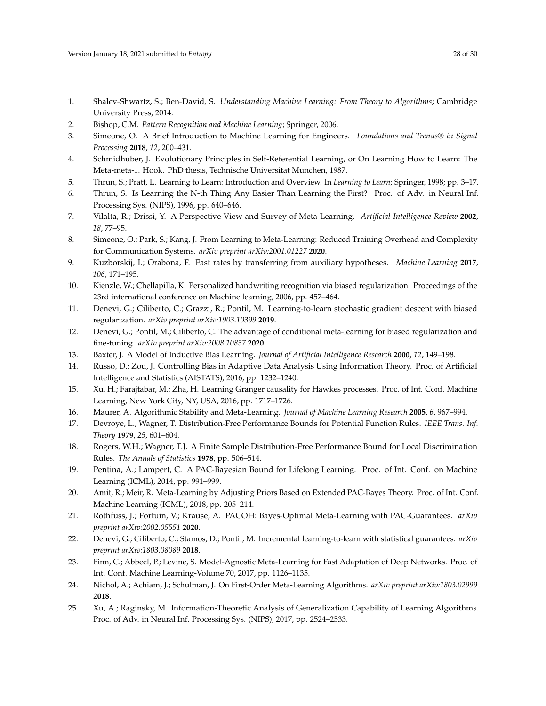- <span id="page-27-0"></span>1. Shalev-Shwartz, S.; Ben-David, S. *Understanding Machine Learning: From Theory to Algorithms*; Cambridge University Press, 2014.
- 2. Bishop, C.M. *Pattern Recognition and Machine Learning*; Springer, 2006.
- <span id="page-27-1"></span>3. Simeone, O. A Brief Introduction to Machine Learning for Engineers. *Foundations and Trends® in Signal Processing* **2018**, *12*, 200–431.
- <span id="page-27-2"></span>4. Schmidhuber, J. Evolutionary Principles in Self-Referential Learning, or On Learning How to Learn: The Meta-meta-... Hook. PhD thesis, Technische Universität München, 1987.
- 5. Thrun, S.; Pratt, L. Learning to Learn: Introduction and Overview. In *Learning to Learn*; Springer, 1998; pp. 3–17.
- 6. Thrun, S. Is Learning the N-th Thing Any Easier Than Learning the First? Proc. of Adv. in Neural Inf. Processing Sys. (NIPS), 1996, pp. 640–646.
- 7. Vilalta, R.; Drissi, Y. A Perspective View and Survey of Meta-Learning. *Artificial Intelligence Review* **2002**, *18*, 77–95.
- <span id="page-27-3"></span>8. Simeone, O.; Park, S.; Kang, J. From Learning to Meta-Learning: Reduced Training Overhead and Complexity for Communication Systems. *arXiv preprint arXiv:2001.01227* **2020**.
- <span id="page-27-4"></span>9. Kuzborskij, I.; Orabona, F. Fast rates by transferring from auxiliary hypotheses. *Machine Learning* **2017**, *106*, 171–195.
- <span id="page-27-5"></span>10. Kienzle, W.; Chellapilla, K. Personalized handwriting recognition via biased regularization. Proceedings of the 23rd international conference on Machine learning, 2006, pp. 457–464.
- <span id="page-27-6"></span>11. Denevi, G.; Ciliberto, C.; Grazzi, R.; Pontil, M. Learning-to-learn stochastic gradient descent with biased regularization. *arXiv preprint arXiv:1903.10399* **2019**.
- <span id="page-27-7"></span>12. Denevi, G.; Pontil, M.; Ciliberto, C. The advantage of conditional meta-learning for biased regularization and fine-tuning. *arXiv preprint arXiv:2008.10857* **2020**.
- <span id="page-27-8"></span>13. Baxter, J. A Model of Inductive Bias Learning. *Journal of Artificial Intelligence Research* **2000**, *12*, 149–198.
- <span id="page-27-9"></span>14. Russo, D.; Zou, J. Controlling Bias in Adaptive Data Analysis Using Information Theory. Proc. of Artificial Intelligence and Statistics (AISTATS), 2016, pp. 1232–1240.
- <span id="page-27-10"></span>15. Xu, H.; Farajtabar, M.; Zha, H. Learning Granger causality for Hawkes processes. Proc. of Int. Conf. Machine Learning, New York City, NY, USA, 2016, pp. 1717–1726.
- <span id="page-27-11"></span>16. Maurer, A. Algorithmic Stability and Meta-Learning. *Journal of Machine Learning Research* **2005**, *6*, 967–994.
- <span id="page-27-12"></span>17. Devroye, L.; Wagner, T. Distribution-Free Performance Bounds for Potential Function Rules. *IEEE Trans. Inf. Theory* **1979**, *25*, 601–604.
- <span id="page-27-13"></span>18. Rogers, W.H.; Wagner, T.J. A Finite Sample Distribution-Free Performance Bound for Local Discrimination Rules. *The Annals of Statistics* **1978**, pp. 506–514.
- <span id="page-27-14"></span>19. Pentina, A.; Lampert, C. A PAC-Bayesian Bound for Lifelong Learning. Proc. of Int. Conf. on Machine Learning (ICML), 2014, pp. 991–999.
- <span id="page-27-15"></span>20. Amit, R.; Meir, R. Meta-Learning by Adjusting Priors Based on Extended PAC-Bayes Theory. Proc. of Int. Conf. Machine Learning (ICML), 2018, pp. 205–214.
- <span id="page-27-16"></span>21. Rothfuss, J.; Fortuin, V.; Krause, A. PACOH: Bayes-Optimal Meta-Learning with PAC-Guarantees. *arXiv preprint arXiv:2002.05551* **2020**.
- <span id="page-27-17"></span>22. Denevi, G.; Ciliberto, C.; Stamos, D.; Pontil, M. Incremental learning-to-learn with statistical guarantees. *arXiv preprint arXiv:1803.08089* **2018**.
- <span id="page-27-18"></span>23. Finn, C.; Abbeel, P.; Levine, S. Model-Agnostic Meta-Learning for Fast Adaptation of Deep Networks. Proc. of Int. Conf. Machine Learning-Volume 70, 2017, pp. 1126–1135.
- <span id="page-27-19"></span>24. Nichol, A.; Achiam, J.; Schulman, J. On First-Order Meta-Learning Algorithms. *arXiv preprint arXiv:1803.02999* **2018**.
- <span id="page-27-20"></span>25. Xu, A.; Raginsky, M. Information-Theoretic Analysis of Generalization Capability of Learning Algorithms. Proc. of Adv. in Neural Inf. Processing Sys. (NIPS), 2017, pp. 2524–2533.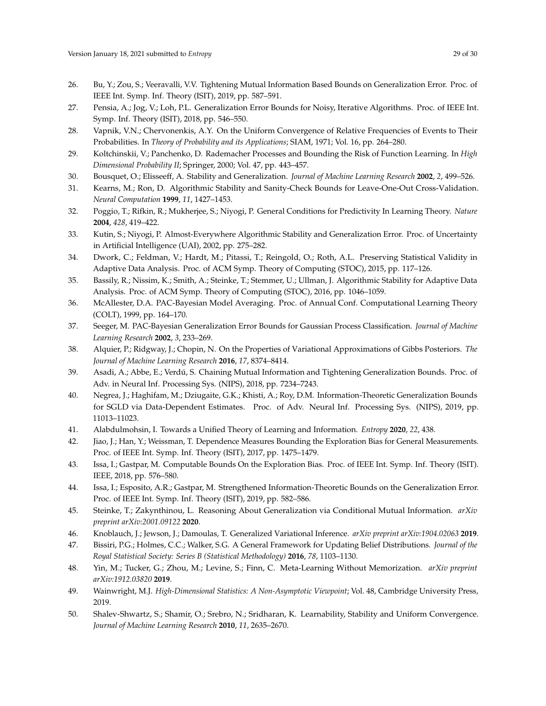- <span id="page-28-0"></span>26. Bu, Y.; Zou, S.; Veeravalli, V.V. Tightening Mutual Information Based Bounds on Generalization Error. Proc. of IEEE Int. Symp. Inf. Theory (ISIT), 2019, pp. 587–591.
- <span id="page-28-1"></span>27. Pensia, A.; Jog, V.; Loh, P.L. Generalization Error Bounds for Noisy, Iterative Algorithms. Proc. of IEEE Int. Symp. Inf. Theory (ISIT), 2018, pp. 546–550.
- <span id="page-28-2"></span>28. Vapnik, V.N.; Chervonenkis, A.Y. On the Uniform Convergence of Relative Frequencies of Events to Their Probabilities. In *Theory of Probability and its Applications*; SIAM, 1971; Vol. 16, pp. 264–280.
- <span id="page-28-3"></span>29. Koltchinskii, V.; Panchenko, D. Rademacher Processes and Bounding the Risk of Function Learning. In *High Dimensional Probability II*; Springer, 2000; Vol. 47, pp. 443–457.
- <span id="page-28-4"></span>30. Bousquet, O.; Elisseeff, A. Stability and Generalization. *Journal of Machine Learning Research* **2002**, *2*, 499–526.
- <span id="page-28-5"></span>31. Kearns, M.; Ron, D. Algorithmic Stability and Sanity-Check Bounds for Leave-One-Out Cross-Validation. *Neural Computation* **1999**, *11*, 1427–1453.
- 32. Poggio, T.; Rifkin, R.; Mukherjee, S.; Niyogi, P. General Conditions for Predictivity In Learning Theory. *Nature* **2004**, *428*, 419–422.
- <span id="page-28-6"></span>33. Kutin, S.; Niyogi, P. Almost-Everywhere Algorithmic Stability and Generalization Error. Proc. of Uncertainty in Artificial Intelligence (UAI), 2002, pp. 275–282.
- <span id="page-28-7"></span>34. Dwork, C.; Feldman, V.; Hardt, M.; Pitassi, T.; Reingold, O.; Roth, A.L. Preserving Statistical Validity in Adaptive Data Analysis. Proc. of ACM Symp. Theory of Computing (STOC), 2015, pp. 117–126.
- <span id="page-28-8"></span>35. Bassily, R.; Nissim, K.; Smith, A.; Steinke, T.; Stemmer, U.; Ullman, J. Algorithmic Stability for Adaptive Data Analysis. Proc. of ACM Symp. Theory of Computing (STOC), 2016, pp. 1046–1059.
- <span id="page-28-9"></span>36. McAllester, D.A. PAC-Bayesian Model Averaging. Proc. of Annual Conf. Computational Learning Theory (COLT), 1999, pp. 164–170.
- 37. Seeger, M. PAC-Bayesian Generalization Error Bounds for Gaussian Process Classification. *Journal of Machine Learning Research* **2002**, *3*, 233–269.
- <span id="page-28-10"></span>38. Alquier, P.; Ridgway, J.; Chopin, N. On the Properties of Variational Approximations of Gibbs Posteriors. *The Journal of Machine Learning Research* **2016**, *17*, 8374–8414.
- <span id="page-28-11"></span>39. Asadi, A.; Abbe, E.; Verdú, S. Chaining Mutual Information and Tightening Generalization Bounds. Proc. of Adv. in Neural Inf. Processing Sys. (NIPS), 2018, pp. 7234–7243.
- <span id="page-28-12"></span>40. Negrea, J.; Haghifam, M.; Dziugaite, G.K.; Khisti, A.; Roy, D.M. Information-Theoretic Generalization Bounds for SGLD via Data-Dependent Estimates. Proc. of Adv. Neural Inf. Processing Sys. (NIPS), 2019, pp. 11013–11023.
- <span id="page-28-13"></span>41. Alabdulmohsin, I. Towards a Unified Theory of Learning and Information. *Entropy* **2020**, *22*, 438.
- <span id="page-28-14"></span>42. Jiao, J.; Han, Y.; Weissman, T. Dependence Measures Bounding the Exploration Bias for General Measurements. Proc. of IEEE Int. Symp. Inf. Theory (ISIT), 2017, pp. 1475–1479.
- 43. Issa, I.; Gastpar, M. Computable Bounds On the Exploration Bias. Proc. of IEEE Int. Symp. Inf. Theory (ISIT). IEEE, 2018, pp. 576–580.
- <span id="page-28-15"></span>44. Issa, I.; Esposito, A.R.; Gastpar, M. Strengthened Information-Theoretic Bounds on the Generalization Error. Proc. of IEEE Int. Symp. Inf. Theory (ISIT), 2019, pp. 582–586.
- <span id="page-28-16"></span>45. Steinke, T.; Zakynthinou, L. Reasoning About Generalization via Conditional Mutual Information. *arXiv preprint arXiv:2001.09122* **2020**.
- <span id="page-28-17"></span>46. Knoblauch, J.; Jewson, J.; Damoulas, T. Generalized Variational Inference. *arXiv preprint arXiv:1904.02063* **2019**.
- <span id="page-28-18"></span>47. Bissiri, P.G.; Holmes, C.C.; Walker, S.G. A General Framework for Updating Belief Distributions. *Journal of the Royal Statistical Society: Series B (Statistical Methodology)* **2016**, *78*, 1103–1130.
- <span id="page-28-19"></span>48. Yin, M.; Tucker, G.; Zhou, M.; Levine, S.; Finn, C. Meta-Learning Without Memorization. *arXiv preprint arXiv:1912.03820* **2019**.
- <span id="page-28-20"></span>49. Wainwright, M.J. *High-Dimensional Statistics: A Non-Asymptotic Viewpoint*; Vol. 48, Cambridge University Press, 2019.
- <span id="page-28-21"></span>50. Shalev-Shwartz, S.; Shamir, O.; Srebro, N.; Sridharan, K. Learnability, Stability and Uniform Convergence. *Journal of Machine Learning Research* **2010**, *11*, 2635–2670.